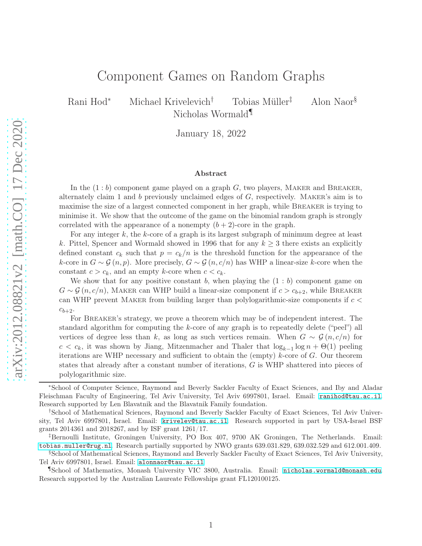# Component Games on Random Graphs

Rani Hod<sup>∗</sup> Michael Krivelevich† Tobias Müller‡ Alon Naor§ Nicholas Wormald¶

January 18, 2022

#### Abstract

In the  $(1:b)$  component game played on a graph  $G$ , two players, MAKER and BREAKER, alternately claim 1 and  $b$  previously unclaimed edges of  $G$ , respectively. MAKER's aim is to maximise the size of a largest connected component in her graph, while BREAKER is trying to minimise it. We show that the outcome of the game on the binomial random graph is strongly correlated with the appearance of a nonempty  $(b+2)$ -core in the graph.

For any integer  $k$ , the  $k$ -core of a graph is its largest subgraph of minimum degree at least k. Pittel, Spencer and Wormald showed in 1996 that for any  $k \geq 3$  there exists an explicitly defined constant  $c_k$  such that  $p = c_k/n$  is the threshold function for the appearance of the k-core in  $G \sim \mathcal{G}(n, p)$ . More precisely,  $G \sim \mathcal{G}(n, c/n)$  has WHP a linear-size k-core when the constant  $c > c_k$ , and an empty k-core when  $c < c_k$ .

We show that for any positive constant b, when playing the  $(1 : b)$  component game on  $G \sim \mathcal{G}(n, c/n)$ , MAKER can WHP build a linear-size component if  $c > c_{b+2}$ , while BREAKER can WHP prevent MAKER from building larger than polylogarithmic-size components if  $c <$  $c_{b+2}.$ 

For Breaker's strategy, we prove a theorem which may be of independent interest. The standard algorithm for computing the k-core of any graph is to repeatedly delete ("peel") all vertices of degree less than k, as long as such vertices remain. When  $G \sim \mathcal{G}(n, c/n)$  for  $c < c_k$ , it was shown by Jiang, Mitzenmacher and Thaler that  $\log_{k-1} \log n + \Theta(1)$  peeling iterations are WHP necessary and sufficient to obtain the (empty)  $k$ -core of  $G$ . Our theorem states that already after a constant number of iterations, G is WHP shattered into pieces of polylogarithmic size.

<sup>∗</sup>School of Computer Science, Raymond and Beverly Sackler Faculty of Exact Sciences, and Iby and Aladar Fleischman Faculty of Engineering, Tel Aviv University, Tel Aviv 6997801, Israel. Email: <ranihod@tau.ac.il>. Research supported by Len Blavatnik and the Blavatnik Family foundation.

<sup>†</sup>School of Mathematical Sciences, Raymond and Beverly Sackler Faculty of Exact Sciences, Tel Aviv University, Tel Aviv 6997801, Israel. Email: <krivelev@tau.ac.il>. Research supported in part by USA-Israel BSF grants 2014361 and 2018267, and by ISF grant 1261/17.

<sup>‡</sup>Bernoulli Institute, Groningen University, PO Box 407, 9700 AK Groningen, The Netherlands. Email: <tobias.muller@rug.nl>. Research partially supported by NWO grants 639.031.829, 639.032.529 and 612.001.409.

<sup>§</sup>School of Mathematical Sciences, Raymond and Beverly Sackler Faculty of Exact Sciences, Tel Aviv University, Tel Aviv 6997801, Israel. Email: <alonnaor@tau.ac.il>

<sup>¶</sup>School of Mathematics, Monash University VIC 3800, Australia. Email: <nicholas.wormald@monash.edu>. Research supported by the Australian Laureate Fellowships grant FL120100125.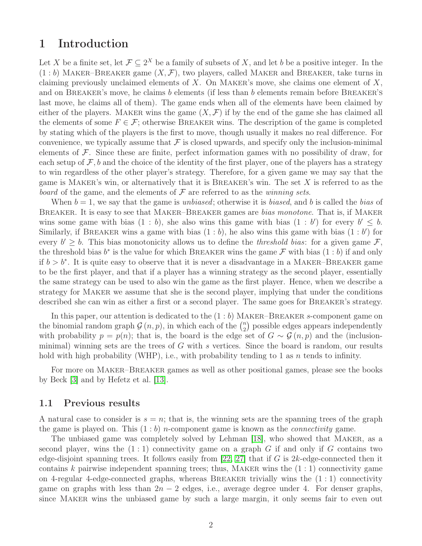## <span id="page-1-0"></span>1 Introduction

Let X be a finite set, let  $\mathcal{F} \subseteq 2^X$  be a family of subsets of X, and let b be a positive integer. In the  $(1:b)$  MAKER–BREAKER game  $(X,\mathcal{F})$ , two players, called MAKER and BREAKER, take turns in claiming previously unclaimed elements of  $X$ . On MAKER's move, she claims one element of  $X$ , and on BREAKER's move, he claims b elements (if less than b elements remain before BREAKER'S last move, he claims all of them). The game ends when all of the elements have been claimed by either of the players. MAKER wins the game  $(X, \mathcal{F})$  if by the end of the game she has claimed all the elements of some  $F \in \mathcal{F}$ ; otherwise BREAKER wins. The description of the game is completed by stating which of the players is the first to move, though usually it makes no real difference. For convenience, we typically assume that  $\mathcal F$  is closed upwards, and specify only the inclusion-minimal elements of  $\mathcal F$ . Since these are finite, perfect information games with no possibility of draw, for each setup of  $\mathcal{F}, b$  and the choice of the identity of the first player, one of the players has a strategy to win regardless of the other player's strategy. Therefore, for a given game we may say that the game is MAKER's win, or alternatively that it is BREAKER's win. The set  $X$  is referred to as the *board* of the game, and the elements of F are referred to as the *winning sets*.

When b = 1, we say that the game is *unbiased*; otherwise it is *biased*, and b is called the *bias* of Breaker. It is easy to see that Maker–Breaker games are *bias monotone*. That is, if Maker wins some game with bias  $(1 : b)$ , she also wins this game with bias  $(1 : b')$  for every  $b' \leq b$ . Similarly, if BREAKER wins a game with bias  $(1 : b)$ , he also wins this game with bias  $(1 : b')$  for every  $b' \geq b$ . This bias monotonicity allows us to define the *threshold bias*: for a given game  $\mathcal{F}$ , the threshold bias  $b^*$  is the value for which BREAKER wins the game  $\mathcal F$  with bias  $(1:b)$  if and only if  $b > b^*$ . It is quite easy to observe that it is never a disadvantage in a MAKER–BREAKER game to be the first player, and that if a player has a winning strategy as the second player, essentially the same strategy can be used to also win the game as the first player. Hence, when we describe a strategy for Maker we assume that she is the second player, implying that under the conditions described she can win as either a first or a second player. The same goes for BREAKER's strategy.

In this paper, our attention is dedicated to the  $(1:b)$  MAKER–BREAKER s-component game on the binomial random graph  $\mathcal{G}(n, p)$ , in which each of the  $\binom{n}{2}$  $\binom{n}{2}$  possible edges appears independently with probability  $p = p(n)$ ; that is, the board is the edge set of  $G \sim \mathcal{G}(n, p)$  and the (inclusionminimal) winning sets are the trees of  $G$  with s vertices. Since the board is random, our results hold with high probability (WHP), i.e., with probability tending to 1 as  $n$  tends to infinity.

For more on Maker–Breaker games as well as other positional games, please see the books by Beck [\[3\]](#page-29-0) and by Hefetz et al. [\[13\]](#page-29-1).

#### 1.1 Previous results

A natural case to consider is  $s = n$ ; that is, the winning sets are the spanning trees of the graph the game is played on. This (1 : b) n-component game is known as the *connectivity* game.

The unbiased game was completely solved by Lehman [\[18\]](#page-30-0), who showed that Maker, as a second player, wins the  $(1:1)$  connectivity game on a graph G if and only if G contains two edge-disjoint spanning trees. It follows easily from [\[22,](#page-30-1) [27\]](#page-30-2) that if G is  $2k$ -edge-connected then it contains k pairwise independent spanning trees; thus, MAKER wins the  $(1:1)$  connectivity game on 4-regular 4-edge-connected graphs, whereas BREAKER trivially wins the  $(1:1)$  connectivity game on graphs with less than  $2n - 2$  edges, i.e., average degree under 4. For denser graphs, since Maker wins the unbiased game by such a large margin, it only seems fair to even out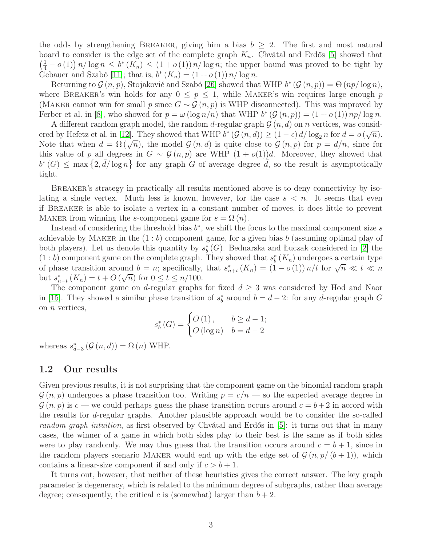the odds by strengthening BREAKER, giving him a bias  $b \geq 2$ . The first and most natural board to consider is the edge set of the complete graph  $K_n$ . Chvátal and Erdős [\[5\]](#page-29-2) showed that  $\left(\frac{1}{4} - o(1)\right) n / \log n \leq b^* (K_n) \leq (1 + o(1)) n / \log n$ ; the upper bound was proved to be tight by Gebauer and Szabó [\[11\]](#page-29-3); that is,  $b^*(K_n) = (1 + o(1)) n / \log n$ .

Returning to  $\mathcal{G}(n, p)$ , Stojaković and Szabó [\[26\]](#page-30-3) showed that WHP  $b^* (\mathcal{G}(n, p)) = \Theta (np / \log n)$ , where BREAKER's win holds for any  $0 \leq p \leq 1$ , while MAKER's win requires large enough p (MAKER cannot win for small p since  $G \sim \mathcal{G}(n, p)$  is WHP disconnected). This was improved by Ferber et al. in [\[8\]](#page-29-4), who showed for  $p = \omega(\log n/n)$  that WHP  $b^*(\mathcal{G}(n, p)) = (1 + o(1)) np/\log n$ .

A different random graph model, the random d-regular graph  $\mathcal{G}(n, d)$  on n vertices, was consid-ered by Hefetz et al. in [\[12\]](#page-29-5). They showed that WHP  $b^*$   $(\mathcal{G}(n,d)) \geq (1-\epsilon) d/\log_2 n$  for  $d = o(\sqrt{n})$ . Note that when  $d = \Omega(\sqrt{n})$ , the model  $\mathcal{G}(n, d)$  is quite close to  $\mathcal{G}(n, p)$  for  $p = d/n$ , since for this value of p all degrees in  $G \sim \mathcal{G}(n, p)$  are WHP  $(1 + o(1))d$ . Moreover, they showed that  $b^*(G) \leq \max\{2,\overline{d}/\log n\}$  for any graph G of average degree  $\overline{d}$ , so the result is asymptotically tight.

BREAKER's strategy in practically all results mentioned above is to deny connectivity by isolating a single vertex. Much less is known, however, for the case  $s < n$ . It seems that even if Breaker is able to isolate a vertex in a constant number of moves, it does little to prevent MAKER from winning the s-component game for  $s = \Omega(n)$ .

Instead of considering the threshold bias  $b^*$ , we shift the focus to the maximal component size s achievable by MAKER in the  $(1:b)$  component game, for a given bias b (assuming optimal play of both players). Let us denote this quantity by  $s_b^*(G)$ . Bednarska and Łuczak considered in [\[2\]](#page-29-6) the  $(1:b)$  component game on the complete graph. They showed that  $s_b^*(K_n)$  undergoes a certain type of phase transition around  $b = n$ ; specifically, that  $s_{n+t}^*(K_n) = (1 - o(1)) n/t$  for  $\sqrt{n} \ll t \ll n$ but  $s_{n-t}^*(K_n) = t + O(\sqrt{n})$  for  $0 \le t \le n/100$ .

The component game on d-regular graphs for fixed  $d \geq 3$  was considered by Hod and Naor in [\[15\]](#page-29-7). They showed a similar phase transition of  $s_b^*$  around  $b = d - 2$ : for any d-regular graph G on  $n$  vertices,

$$
s_b^*(G) = \begin{cases} O(1), & b \ge d - 1; \\ O(\log n) & b = d - 2 \end{cases}
$$

whereas  $s_{d-3}^* (\mathcal{G} (n,d)) = \Omega(n)$  WHP.

#### 1.2 Our results

Given previous results, it is not surprising that the component game on the binomial random graph  $\mathcal{G}(n, p)$  undergoes a phase transition too. Writing  $p = c/n$  so the expected average degree in  $\mathcal{G}(n, p)$  is  $c$  — we could perhaps guess the phase transition occurs around  $c = b + 2$  in accord with the results for d-regular graphs. Another plausible approach would be to consider the so-called *random graph intuition*, as first observed by Chvátal and Erdős in [\[5\]](#page-29-2): it turns out that in many cases, the winner of a game in which both sides play to their best is the same as if both sides were to play randomly. We may thus guess that the transition occurs around  $c = b + 1$ , since in the random players scenario MAKER would end up with the edge set of  $\mathcal{G}(n, p/(b+1))$ , which contains a linear-size component if and only if  $c > b + 1$ .

It turns out, however, that neither of these heuristics gives the correct answer. The key graph parameter is degeneracy, which is related to the minimum degree of subgraphs, rather than average degree; consequently, the critical c is (somewhat) larger than  $b + 2$ .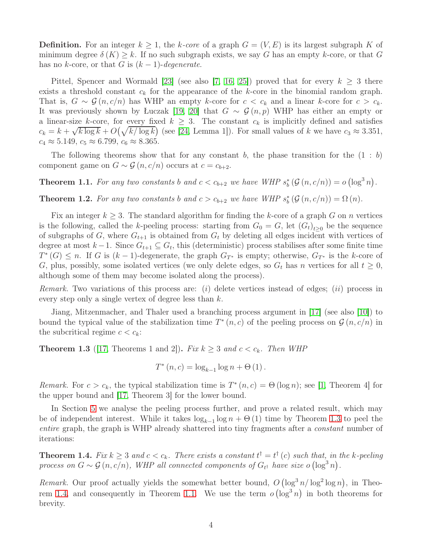**Definition.** For an integer  $k \geq 1$ , the k-core of a graph  $G = (V, E)$  is its largest subgraph K of minimum degree  $\delta(K) \geq k$ . If no such subgraph exists, we say G has an empty k-core, or that G has no k-core, or that G is  $(k-1)$ -degenerate.

Pittel, Spencer and Wormald [\[23\]](#page-30-4) (see also [\[7,](#page-29-8) [16,](#page-30-5) [25\]](#page-30-6)) proved that for every  $k \geq 3$  there exists a threshold constant  $c_k$  for the appearance of the k-core in the binomial random graph. That is,  $G \sim \mathcal{G}(n, c/n)$  has WHP an empty k-core for  $c < c_k$  and a linear k-core for  $c > c_k$ . It was previously shown by Łuczak [\[19,](#page-30-7) [20\]](#page-30-8) that  $G \sim \mathcal{G}(n, p)$  WHP has either an empty or a linear-size k-core, for every fixed  $k \geq 3$ . The constant  $c_k$  is implicitly defined and satisfies  $c_k = k + \sqrt{k \log k} + O(\sqrt{k/\log k})$  (see [\[24,](#page-30-9) Lemma 1]). For small values of k we have  $c_3 \approx 3.351$ ,  $c_4 \approx 5.149, c_5 \approx 6.799, c_6 \approx 8.365.$ 

The following theorems show that for any constant b, the phase transition for the  $(1 : b)$ component game on  $G \sim \mathcal{G}(n, c/n)$  occurs at  $c = c_{b+2}$ .

<span id="page-3-2"></span>**Theorem 1.1.** For any two constants b and  $c < c_{b+2}$  we have WHP  $s_b^* (\mathcal{G}(n, c/n)) = o(\log^3 n)$ .

<span id="page-3-3"></span>**Theorem 1.2.** For any two constants b and  $c > c_{b+2}$  we have WHP  $s_b^* (\mathcal{G}(n, c/n)) = \Omega(n)$ .

Fix an integer  $k \geq 3$ . The standard algorithm for finding the k-core of a graph G on n vertices is the following, called the k-peeling process: starting from  $G_0 = G$ , let  $(G_t)_{t \geq 0}$  be the sequence of subgraphs of G, where  $G_{t+1}$  is obtained from  $G_t$  by deleting all edges incident with vertices of degree at most  $k-1$ . Since  $G_{t+1} \subseteq G_t$ , this (deterministic) process stabilises after some finite time  $T^*(G) \leq n$ . If G is  $(k-1)$ -degenerate, the graph  $G_{T^*}$  is empty; otherwise,  $G_{T^*}$  is the k-core of G, plus, possibly, some isolated vertices (we only delete edges, so  $G_t$  has n vertices for all  $t \geq 0$ , although some of them may become isolated along the process).

*Remark.* Two variations of this process are: (i) delete vertices instead of edges; (ii) process in every step only a single vertex of degree less than  $k$ .

Jiang, Mitzenmacher, and Thaler used a branching process argument in [\[17\]](#page-30-10) (see also [\[10\]](#page-29-9)) to bound the typical value of the stabilization time  $T^*(n, c)$  of the peeling process on  $\mathcal{G}(n, c/n)$  in the subcritical regime  $c < c_k$ :

<span id="page-3-0"></span>**Theorem 1.3** ([\[17,](#page-30-10) Theorems 1 and 2]). *Fix*  $k \geq 3$  *and*  $c < c_k$ . *Then WHP* 

$$
T^*(n, c) = \log_{k-1} \log n + \Theta(1).
$$

*Remark.* For  $c > c_k$ , the typical stabilization time is  $T^*(n, c) = \Theta(\log n)$ ; see [\[1,](#page-29-10) Theorem 4] for the upper bound and [\[17,](#page-30-10) Theorem 3] for the lower bound.

In Section [5](#page-12-0) we analyse the peeling process further, and prove a related result, which may be of independent interest. While it takes  $log_{k-1} log n + \Theta(1)$  time by Theorem [1.3](#page-3-0) to peel the *entire* graph, the graph is WHP already shattered into tiny fragments after a *constant* number of iterations:

<span id="page-3-1"></span>**Theorem 1.4.**  $Fix k \geq 3$  and  $c < c_k$ . There exists a constant  $t^{\dagger} = t^{\dagger}$  (c) such that, in the k-peeling *process on*  $G \sim \mathcal{G}(n, c/n)$ , WHP all connected components of  $G_{t}$  have size o  $(\log^3 n)$ .

*Remark.* Our proof actually yields the somewhat better bound,  $O(\log^3 n/\log^2 \log n)$ , in Theo-rem [1.4,](#page-3-1) and consequently in Theorem [1.1.](#page-3-2) We use the term  $o(\log^3 n)$  in both theorems for brevity.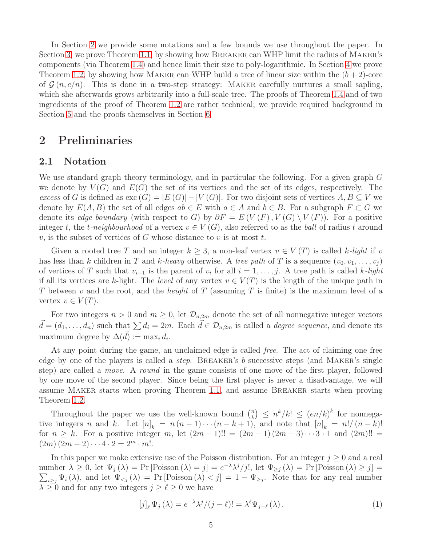In Section [2](#page-4-0) we provide some notations and a few bounds we use throughout the paper. In Section [3,](#page-6-0) we prove Theorem [1.1,](#page-3-2) by showing how Breaker can WHP limit the radius of Maker's components (via Theorem [1.4\)](#page-3-1) and hence limit their size to poly-logarithmic. In Section [4](#page-8-0) we prove Theorem [1.2,](#page-3-3) by showing how MAKER can WHP build a tree of linear size within the  $(b+2)$ -core of  $\mathcal{G}(n, c/n)$ . This is done in a two-step strategy: MAKER carefully nurtures a small sapling, which she afterwards grows arbitrarily into a full-scale tree. The proofs of Theorem [1.4](#page-3-1) and of two ingredients of the proof of Theorem [1.2](#page-3-3) are rather technical; we provide required background in Section [5](#page-12-0) and the proofs themselves in Section [6.](#page-15-0)

## <span id="page-4-0"></span>2 Preliminaries

#### 2.1 Notation

We use standard graph theory terminology, and in particular the following. For a given graph G we denote by  $V(G)$  and  $E(G)$  the set of its vertices and the set of its edges, respectively. The *excess* of G is defined as  $\text{exc}(G) = |E(G)| - |V(G)|$ . For two disjoint sets of vertices  $A, B \subseteq V$  we denote by  $E(A, B)$  the set of all edges  $ab \in E$  with  $a \in A$  and  $b \in B$ . For a subgraph  $F \subset G$  we denote its *edge boundary* (with respect to G) by  $\partial F = E(V(F), V(G) \setminus V(F))$ . For a positive integer t, the t-neighbourhood of a vertex  $v \in V(G)$ , also referred to as the *ball* of radius t around v, is the subset of vertices of G whose distance to v is at most t.

Given a rooted tree T and an integer  $k \geq 3$ , a non-leaf vertex  $v \in V(T)$  is called k-light if v has less than k children in T and k-heavy otherwise. A *tree path* of T is a sequence  $(v_0, v_1, \ldots, v_j)$ of vertices of T such that  $v_{i-1}$  is the parent of  $v_i$  for all  $i = 1, \ldots, j$ . A tree path is called k-*light* if all its vertices are k-light. The *level* of any vertex  $v \in V(T)$  is the length of the unique path in T between v and the root, and the *height* of T (assuming T is finite) is the maximum level of a vertex  $v \in V(T)$ .

For two integers  $n > 0$  and  $m \geq 0$ , let  $\mathcal{D}_{n,2m}$  denote the set of all nonnegative integer vectors  $\vec{d} = (d_1, \ldots, d_n)$  such that  $\sum d_i = 2m$ . Each  $\vec{d} \in \mathcal{D}_{n,2m}$  is called a *degree sequence*, and denote its maximum degree by  $\Delta(\vec{d}) := \max_i d_i$ .

At any point during the game, an unclaimed edge is called *free*. The act of claiming one free edge by one of the players is called a *step*. Breaker's b successive steps (and Maker's single step) are called a *move*. A *round* in the game consists of one move of the first player, followed by one move of the second player. Since being the first player is never a disadvantage, we will assume Maker starts when proving Theorem [1.1,](#page-3-2) and assume Breaker starts when proving Theorem [1.2.](#page-3-3)

Throughout the paper we use the well-known bound  $\binom{n}{k}$  $\binom{n}{k} \leq n^k/k! \leq (en/k)^k$  for nonnegative integers n and k. Let  $[n]_k = n(n-1)\cdots(n-k+1)$ , and note that  $[n]_k = n!/(n-k)!$ for  $n \geq k$ . For a positive integer m, let  $(2m-1)!! = (2m-1)(2m-3)\cdots 3 \cdot 1$  and  $(2m)!!$  $(2m)(2m-2)\cdots 4\cdot 2=2^m\cdot m!$ .

In this paper we make extensive use of the Poisson distribution. For an integer  $j \geq 0$  and a real number  $\lambda \geq 0$ , let  $\Psi_j(\lambda) = \Pr[\text{Poisson }(\lambda) = j] = e^{-\lambda} \lambda^j / j!$ , let  $\Psi_{\geq j}(\lambda) = \Pr[\text{Poisson }(\lambda) \geq j] =$  $\sum_{i\geq j}\Psi_i(\lambda)$ , and let  $\Psi_{. Note that for any real number$  $\lambda \geq 0$  and for any two integers  $j \geq \ell \geq 0$  we have

<span id="page-4-1"></span>
$$
[j]_{\ell} \Psi_j(\lambda) = e^{-\lambda} \lambda^j / (j - \ell)! = \lambda^{\ell} \Psi_{j - \ell}(\lambda).
$$
 (1)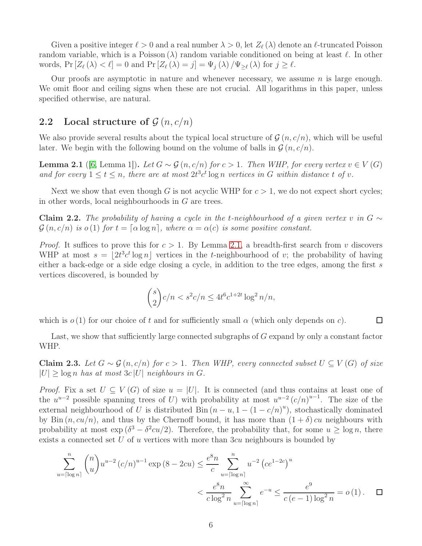Given a positive integer  $\ell > 0$  and a real number  $\lambda > 0$ , let  $Z_{\ell}(\lambda)$  denote an  $\ell$ -truncated Poisson random variable, which is a Poisson  $(\lambda)$  random variable conditioned on being at least  $\ell$ . In other words,  $Pr[Z_{\ell}(\lambda) < \ell] = 0$  and  $Pr[Z_{\ell}(\lambda) = j] = \Psi_j(\lambda) / \Psi_{\geq \ell}(\lambda)$  for  $j \geq \ell$ .

Our proofs are asymptotic in nature and whenever necessary, we assume  $n$  is large enough. We omit floor and ceiling signs when these are not crucial. All logarithms in this paper, unless specified otherwise, are natural.

# 2.2 Local structure of  $\mathcal{G}(n, c/n)$

We also provide several results about the typical local structure of  $\mathcal{G}(n, c/n)$ , which will be useful later. We begin with the following bound on the volume of balls in  $\mathcal{G}(n, c/n)$ .

<span id="page-5-0"></span>**Lemma 2.1** ([\[6,](#page-29-11) Lemma 1]). Let  $G ∼ G$  (n, c/n) for  $c > 1$ . Then WHP, for every vertex  $v ∈ V(G)$ and for every  $1 \le t \le n$ , there are at most  $2t^3c^t \log n$  vertices in G within distance t of v.

Next we show that even though G is not acyclic WHP for  $c > 1$ , we do not expect short cycles; in other words, local neighbourhoods in G are trees.

<span id="page-5-2"></span>**Claim 2.2.** The probability of having a cycle in the t-neighbourhood of a given vertex v in  $G \sim$  $\mathcal{G}(n, c/n)$  *is*  $o(1)$  *for*  $t = \lceil \alpha \log n \rceil$ *, where*  $\alpha = \alpha(c)$  *is some positive constant.* 

*Proof.* It suffices to prove this for  $c > 1$ . By Lemma [2.1,](#page-5-0) a breadth-first search from v discovers WHP at most  $s = \lfloor 2t^3 c^t \log n \rfloor$  vertices in the t-neighbourhood of v; the probability of having either a back-edge or a side edge closing a cycle, in addition to the tree edges, among the first s vertices discovered, is bounded by

$$
\binom{s}{2}c/n < s^2c/n \le 4t^6c^{1+2t}\log^2 n/n,
$$

 $\Box$ 

which is  $o(1)$  for our choice of t and for sufficiently small  $\alpha$  (which only depends on c).

Last, we show that sufficiently large connected subgraphs of G expand by only a constant factor WHP.

<span id="page-5-1"></span>Claim 2.3. *Let*  $G ∼ G (n, c/n)$  *for*  $c > 1$ *. Then WHP, every connected subset*  $U ⊆ V(G)$  *of size*  $|U| \geq \log n$  *has at most*  $3c |U|$  *neighbours in G.* 

*Proof.* Fix a set  $U \subseteq V(G)$  of size  $u = |U|$ . It is connected (and thus contains at least one of the  $u^{u-2}$  possible spanning trees of U) with probability at most  $u^{u-2} (c/n)^{u-1}$ . The size of the external neighbourhood of U is distributed Bin  $(n - u, 1 - (1 - c/n)^u)$ , stochastically dominated by Bin  $(n, cu/n)$ , and thus by the Chernoff bound, it has more than  $(1 + \delta) cu$  neighbours with probability at most  $\exp(\delta^3 - \delta^2 c u/2)$ . Therefore, the probability that, for some  $u \ge \log n$ , there exists a connected set  $U$  of  $u$  vertices with more than  $3cu$  neighbours is bounded by

$$
\sum_{u=\lceil \log n \rceil}^{n} {n \choose u} u^{u-2} (c/n)^{u-1} \exp (8 - 2cu) \le \frac{e^8 n}{c} \sum_{u=\lceil \log n \rceil}^{n} u^{-2} (ce^{1-2c})^u
$$
  

$$
< \frac{e^8 n}{c \log^2 n} \sum_{u=\lceil \log n \rceil}^{\infty} e^{-u} \le \frac{e^9}{c (e-1) \log^2 n} = o(1). \quad \Box
$$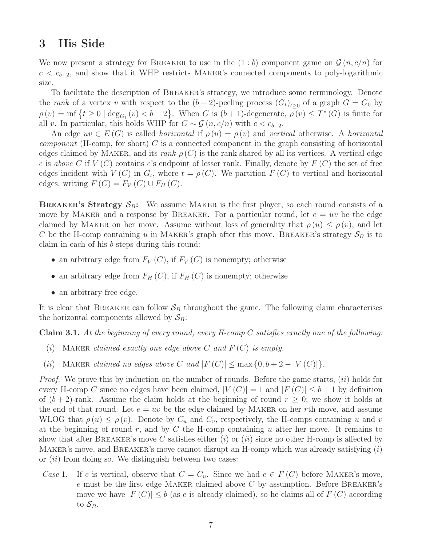## <span id="page-6-0"></span>3 His Side

We now present a strategy for BREAKER to use in the  $(1:b)$  component game on  $\mathcal{G}(n, c/n)$  for  $c < c_{b+2}$ , and show that it WHP restricts MAKER's connected components to poly-logarithmic size.

To facilitate the description of Breaker's strategy, we introduce some terminology. Denote the *rank* of a vertex v with respect to the  $(b+2)$ -peeling process  $(G_t)_{t\geq 0}$  of a graph  $G = G_0$  by  $\rho(v) = \inf \{ t \geq 0 \mid \deg_{G_t}(v) < b+2 \}.$  When G is  $(b+1)$ -degenerate,  $\rho(v) \leq T^*(G)$  is finite for all v. In particular, this holds WHP for  $G \sim \mathcal{G}(n, c/n)$  with  $c < c_{b+2}$ .

An edge  $uv \in E(G)$  is called *horizontal* if  $\rho(u) = \rho(v)$  and *vertical* otherwise. A *horizontal component* (H-comp, for short) C is a connected component in the graph consisting of horizontal edges claimed by MAKER, and its *rank*  $\rho(C)$  is the rank shared by all its vertices. A vertical edge e is *above* C if  $V(C)$  contains e's endpoint of lesser rank. Finally, denote by  $F(C)$  the set of free edges incident with  $V(C)$  in  $G_t$ , where  $t = \rho(C)$ . We partition  $F(C)$  to vertical and horizontal edges, writing  $F(C) = F_V(C) \cup F_H(C)$ .

**BREAKER's Strategy**  $S_B$ **:** We assume MAKER is the first player, so each round consists of a move by MAKER and a response by BREAKER. For a particular round, let  $e = uv$  be the edge claimed by MAKER on her move. Assume without loss of generality that  $\rho(u) \leq \rho(v)$ , and let C be the H-comp containing u in MAKER's graph after this move. BREAKER's strategy  $S_B$  is to claim in each of his b steps during this round:

- an arbitrary edge from  $F_V(C)$ , if  $F_V(C)$  is nonempty; otherwise
- an arbitrary edge from  $F_H(C)$ , if  $F_H(C)$  is nonempty; otherwise
- an arbitrary free edge.

It is clear that BREAKER can follow  $S_B$  throughout the game. The following claim characterises the horizontal components allowed by  $S_B$ :

<span id="page-6-1"></span>Claim 3.1. *At the beginning of every round, every H-comp* C *satisfies exactly one of the following:*

- (i) Maker *claimed exactly one edge above* C *and* F (C) *is empty.*
- (ii) MAKER *claimed no edges above* C and  $|F(C)| \le \max\{0, b+2 |V(C)|\}.$

*Proof.* We prove this by induction on the number of rounds. Before the game starts, (ii) holds for every H-comp C since no edges have been claimed,  $|V(C)| = 1$  and  $|F(C)| \leq b+1$  by definition of  $(b+2)$ -rank. Assume the claim holds at the beginning of round  $r \geq 0$ ; we show it holds at the end of that round. Let  $e = uv$  be the edge claimed by MAKER on her rth move, and assume WLOG that  $\rho(u) \leq \rho(v)$ . Denote by  $C_u$  and  $C_v$ , respectively, the H-comps containing u and v at the beginning of round r, and by  $C$  the H-comp containing  $u$  after her move. It remains to show that after BREAKER's move C satisfies either  $(i)$  or  $(ii)$  since no other H-comp is affected by MAKER's move, and BREAKER's move cannot disrupt an H-comp which was already satisfying  $(i)$ or  $(ii)$  from doing so. We distinguish between two cases:

*Case* 1. If e is vertical, observe that  $C = C_u$ . Since we had  $e \in F(C)$  before MAKER's move, e must be the first edge MAKER claimed above  $C$  by assumption. Before BREAKER's move we have  $|F(C)| \leq b$  (as e is already claimed), so he claims all of  $F(C)$  according to  $S_B$ .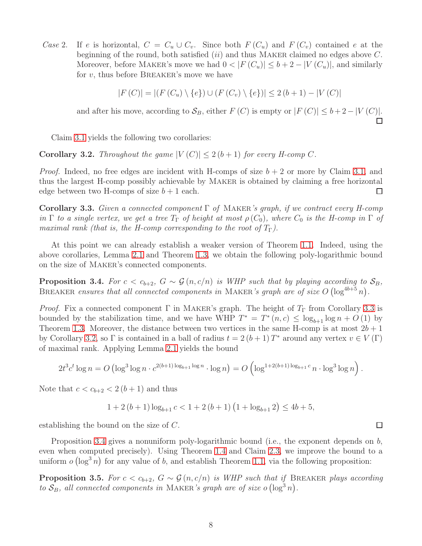*Case* 2. If e is horizontal,  $C = C_u \cup C_v$ . Since both  $F(C_u)$  and  $F(C_v)$  contained e at the beginning of the round, both satisfied  $(ii)$  and thus MAKER claimed no edges above  $C$ . Moreover, before MAKER's move we had  $0 < |F(C_u)| \le b + 2 - |V(C_u)|$ , and similarly for  $v$ , thus before BREAKER's move we have

$$
|F(C)| = |(F(C_u) \setminus \{e\}) \cup (F(C_v) \setminus \{e\})| \le 2(b+1) - |V(C)|
$$

and after his move, according to  $S_B$ , either  $F(C)$  is empty or  $|F(C)| \leq b+2-|V(C)|$ .

Claim [3.1](#page-6-1) yields the following two corollaries:

<span id="page-7-1"></span>**Corollary 3.2.** *Throughout the game*  $|V(C)| \leq 2(b+1)$  *for every H-comp* C.

*Proof.* Indeed, no free edges are incident with H-comps of size  $b + 2$  or more by Claim [3.1,](#page-6-1) and thus the largest H-comp possibly achievable by Maker is obtained by claiming a free horizontal edge between two H-comps of size  $b + 1$  each. □

<span id="page-7-0"></span>Corollary 3.3. *Given a connected component* Γ *of* Maker*'s graph, if we contract every H-comp in*  $\Gamma$  *to a single vertex, we get a tree*  $T_{\Gamma}$  *of height at most*  $\rho(C_0)$ *, where*  $C_0$  *is the H-comp in*  $\Gamma$  *of maximal rank (that is, the H-comp corresponding to the root of*  $T_{\Gamma}$ ).

At this point we can already establish a weaker version of Theorem [1.1.](#page-3-2) Indeed, using the above corollaries, Lemma [2.1](#page-5-0) and Theorem [1.3,](#page-3-0) we obtain the following poly-logarithmic bound on the size of Maker's connected components.

<span id="page-7-2"></span>**Proposition 3.4.** *For*  $c < c_{b+2}$ ,  $G \sim \mathcal{G}(n, c/n)$  *is WHP such that by playing according to*  $S_B$ , BREAKER ensures that all connected components in MAKER's graph are of size  $O(\log^{4b+5} n)$ .

*Proof.* Fix a connected component  $\Gamma$  in MAKER's graph. The height of  $T_{\Gamma}$  from Corollary [3.3](#page-7-0) is bounded by the stabilization time, and we have WHP  $T^* = T^*(n, c) \leq \log_{b+1} \log n + O(1)$  by Theorem [1.3.](#page-3-0) Moreover, the distance between two vertices in the same H-comp is at most  $2b + 1$ by Corollary [3.2,](#page-7-1) so  $\Gamma$  is contained in a ball of radius  $t = 2(b+1)T^*$  around any vertex  $v \in V(\Gamma)$ of maximal rank. Applying Lemma [2.1](#page-5-0) yields the bound

$$
2t^3c^t \log n = O\left(\log^3 \log n \cdot c^{2(b+1)\log_{b+1}\log n} \cdot \log n\right) = O\left(\log^{1+2(b+1)\log_{b+1} c} n \cdot \log^3 \log n\right).
$$

Note that  $c < c_{b+2} < 2(b+1)$  and thus

$$
1 + 2(b+1)\log_{b+1} c < 1 + 2(b+1)\left(1 + \log_{b+1} 2\right) \le 4b + 5,
$$

establishing the bound on the size of C.

Proposition [3.4](#page-7-2) gives a nonuniform poly-logarithmic bound (i.e., the exponent depends on b, even when computed precisely). Using Theorem [1.4](#page-3-1) and Claim [2.3,](#page-5-1) we improve the bound to a uniform  $o(\log^3 n)$  for any value of b, and establish Theorem [1.1,](#page-3-2) via the following proposition:

<span id="page-7-3"></span>**Proposition 3.5.** *For*  $c < c_{b+2}$ ,  $G \sim \mathcal{G}(n, c/n)$  *is WHP such that if* BREAKER *plays according to*  $S_B$ , all connected components in MAKER's graph are of size o  $(\log^3 n)$ .

 $\Box$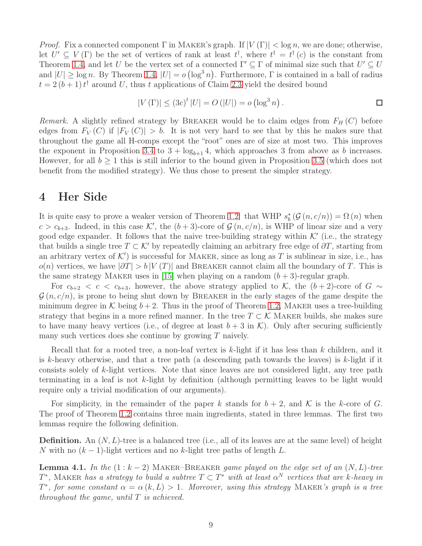*Proof.* Fix a connected component  $\Gamma$  in MAKER's graph. If  $|V(\Gamma)| < \log n$ , we are done; otherwise, let  $U' \subseteq V(\Gamma)$  be the set of vertices of rank at least  $t^{\dagger}$ , where  $t^{\dagger} = t^{\dagger}(c)$  is the constant from Theorem [1.4,](#page-3-1) and let U be the vertex set of a connected  $\Gamma' \subseteq \Gamma$  of minimal size such that  $U' \subseteq U$ and  $|U| \geq \log n$ . By Theorem [1.4,](#page-3-1)  $|U| = o(\log^3 n)$ . Furthermore,  $\Gamma$  is contained in a ball of radius  $t = 2(b+1)t^{\dagger}$  around U, thus t applications of Claim [2.3](#page-5-1) yield the desired bound

$$
|V(\Gamma)| \le (3c)^{t} |U| = O(|U|) = o(\log^{3} n).
$$

*Remark.* A slightly refined strategy by BREAKER would be to claim edges from  $F_H(C)$  before edges from  $F_V(C)$  if  $|F_V(C)| > b$ . It is not very hard to see that by this he makes sure that throughout the game all H-comps except the "root" ones are of size at most two. This improves the exponent in Proposition [3.4](#page-7-2) to  $3 + log_{b+1} 4$ , which approaches 3 from above as b increases. However, for all  $b \geq 1$  this is still inferior to the bound given in Proposition [3.5](#page-7-3) (which does not benefit from the modified strategy). We thus chose to present the simpler strategy.

## <span id="page-8-0"></span>4 Her Side

It is quite easy to prove a weaker version of Theorem [1.2:](#page-3-3) that WHP  $s_b^* (\mathcal{G}(n, c/n)) = \Omega(n)$  when  $c > c_{b+3}$ . Indeed, in this case K', the  $(b+3)$ -core of  $\mathcal{G}(n, c/n)$ , is WHP of linear size and a very good edge expander. It follows that the naive tree-building strategy within  $\mathcal{K}'$  (i.e., the strategy that builds a single tree  $T \subset \mathcal{K}'$  by repeatedly claiming an arbitrary free edge of  $\partial T$ , starting from an arbitrary vertex of  $K'$ ) is successful for MAKER, since as long as T is sublinear in size, i.e., has  $o(n)$  vertices, we have  $|\partial T| > b |V(T)|$  and BREAKER cannot claim all the boundary of T. This is the same strategy MAKER uses in [\[15\]](#page-29-7) when playing on a random  $(b+3)$ -regular graph.

For  $c_{b+2} < c < c_{b+3}$ , however, the above strategy applied to K, the  $(b+2)$ -core of G ∼  $\mathcal{G}(n, c/n)$ , is prone to being shut down by BREAKER in the early stages of the game despite the minimum degree in K being  $b+2$ . Thus in the proof of Theorem [1.2,](#page-3-3) MAKER uses a tree-building strategy that begins in a more refined manner. In the tree  $T \subset \mathcal{K}$  MAKER builds, she makes sure to have many heavy vertices (i.e., of degree at least  $b + 3$  in K). Only after securing sufficiently many such vertices does she continue by growing  $T$  naively.

Recall that for a rooted tree, a non-leaf vertex is k-light if it has less than k children, and it is k-heavy otherwise, and that a tree path (a descending path towards the leaves) is k-light if it consists solely of k-light vertices. Note that since leaves are not considered light, any tree path terminating in a leaf is not k-light by definition (although permitting leaves to be light would require only a trivial modification of our arguments).

For simplicity, in the remainder of the paper k stands for  $b + 2$ , and K is the k-core of G. The proof of Theorem [1.2](#page-3-3) contains three main ingredients, stated in three lemmas. The first two lemmas require the following definition.

**Definition.** An  $(N, L)$ -tree is a balanced tree (i.e., all of its leaves are at the same level) of height N with no  $(k-1)$ -light vertices and no k-light tree paths of length L.

<span id="page-8-1"></span>**Lemma 4.1.** In the  $(1 : k - 2)$  MAKER–BREAKER *game played on the edge set of an*  $(N, L)$ -tree  $T^*$ , MAKER *has a strategy to build a subtree*  $T \subset T^*$  *with at least*  $\alpha^N$  *vertices that are k-heavy in*  $T^*$ , for some constant  $\alpha = \alpha(k, L) > 1$ . Moreover, using this strategy MAKER*'s graph is a tree throughout the game, until* T *is achieved.*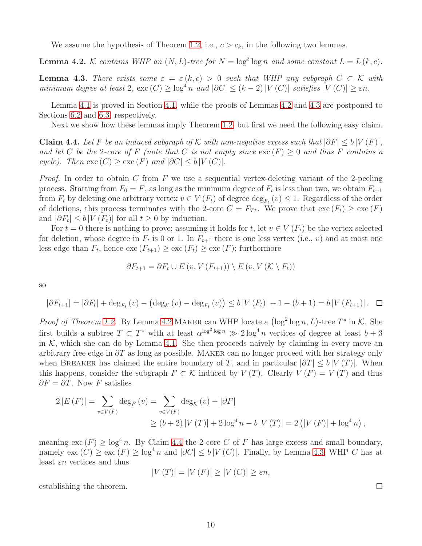We assume the hypothesis of Theorem [1.2,](#page-3-3) i.e.,  $c > c_k$ , in the following two lemmas.

<span id="page-9-0"></span>**Lemma 4.2.** K contains WHP an  $(N, L)$ -tree for  $N = \log^2 \log n$  and some constant  $L = L(k, c)$ .

<span id="page-9-1"></span>**Lemma 4.3.** *There exists some*  $\varepsilon = \varepsilon(k,c) > 0$  *such that WHP any subgraph*  $C \subset \mathcal{K}$  *with minimum degree at least* 2*,*  $\text{exc}(C) \geq \log^4 n$  *and*  $|\partial C| \leq (k-2)|V(C)|$  *satisfies*  $|V(C)| \geq \varepsilon n$ *.* 

Lemma [4.1](#page-8-1) is proved in Section [4.1,](#page-10-0) while the proofs of Lemmas [4.2](#page-9-0) and [4.3](#page-9-1) are postponed to Sections [6.2](#page-20-0) and [6.3,](#page-24-0) respectively.

Next we show how these lemmas imply Theorem [1.2,](#page-3-3) but first we need the following easy claim.

<span id="page-9-2"></span>Claim 4.4. Let F be an induced subgraph of K with non-negative excess such that  $|\partial F| \leq b |V(F)|$ , and let C be the 2-core of F (note that C is not empty since  $\text{exc}(F) \geq 0$  and thus F contains a *cycle). Then*  $\text{exc}(C) \geq \text{exc}(F)$  *and*  $|\partial C| \leq b |V(C)|$ *.* 

*Proof.* In order to obtain C from F we use a sequential vertex-deleting variant of the 2-peeling process. Starting from  $F_0 = F$ , as long as the minimum degree of  $F_t$  is less than two, we obtain  $F_{t+1}$ from  $F_t$  by deleting one arbitrary vertex  $v \in V(F_t)$  of degree  $\deg_{F_t}(v) \leq 1$ . Regardless of the order of deletions, this process terminates with the 2-core  $C = F_{T^*}$ . We prove that  $\operatorname{exc}(F_t) \geq \operatorname{exc}(F)$ and  $|\partial F_t| \leq b |V(F_t)|$  for all  $t \geq 0$  by induction.

For  $t = 0$  there is nothing to prove; assuming it holds for t, let  $v \in V(F_t)$  be the vertex selected for deletion, whose degree in  $F_t$  is 0 or 1. In  $F_{t+1}$  there is one less vertex (i.e., v) and at most one less edge than  $F_t$ , hence  $\text{exc}(F_{t+1}) \geq \text{exc}(F_t) \geq \text{exc}(F)$ ; furthermore

$$
\partial F_{t+1} = \partial F_t \cup E \left( v, V \left( F_{t+1} \right) \right) \setminus E \left( v, V \left( \mathcal{K} \setminus F_t \right) \right)
$$

so

$$
|\partial F_{t+1}| = |\partial F_t| + \deg_{F_t}(v) - (\deg_{\mathcal{K}}(v) - \deg_{F_t}(v)) \le b |V(F_t)| + 1 - (b+1) = b |V(F_{t+1})|.
$$

*Proof of Theorem [1.2.](#page-3-3)* By Lemma [4.2](#page-9-0) MAKER can WHP locate a  $(\log^2 \log n, L)$ -tree  $T^*$  in K. She first builds a subtree  $T \subset T^*$  with at least  $\alpha^{\log^2 \log n} \gg 2 \log^4 n$  vertices of degree at least  $b+3$ in  $K$ , which she can do by Lemma [4.1.](#page-8-1) She then proceeds naively by claiming in every move an arbitrary free edge in  $\partial T$  as long as possible. MAKER can no longer proceed with her strategy only when BREAKER has claimed the entire boundary of T, and in particular  $|\partial T| \leq b |V(T)|$ . When this happens, consider the subgraph  $F \subset \mathcal{K}$  induced by  $V(T)$ . Clearly  $V(F) = V(T)$  and thus  $\partial F = \partial T$ . Now F satisfies

$$
2 |E(F)| = \sum_{v \in V(F)} \deg_F(v) = \sum_{v \in V(F)} \deg_K(v) - |\partial F|
$$
  
 
$$
\ge (b+2) |V(T)| + 2 \log^4 n - b |V(T)| = 2 (|V(F)| + \log^4 n),
$$

meaning  $\text{exc}(F) > \log^4 n$ . By Claim [4.4](#page-9-2) the 2-core C of F has large excess and small boundary, namely  $\text{exc}(C) \geq \text{exc}(F) \geq \log^4 n$  and  $|\partial C| \leq b |V(C)|$ . Finally, by Lemma [4.3,](#page-9-1) WHP C has at least  $\varepsilon n$  vertices and thus

$$
|V(T)| = |V(F)| \ge |V(C)| \ge \varepsilon n,
$$

establishing the theorem.

 $\Box$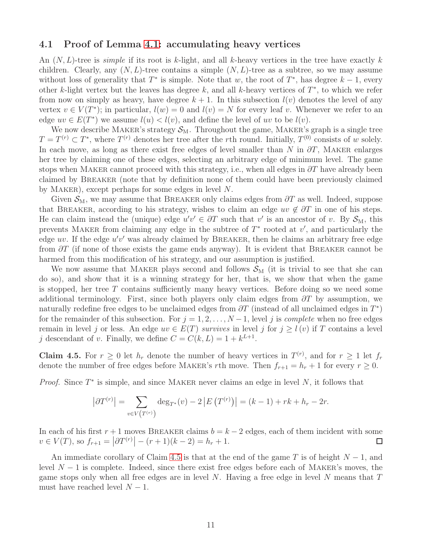#### <span id="page-10-0"></span>4.1 Proof of Lemma [4.1:](#page-8-1) accumulating heavy vertices

An  $(N, L)$ -tree is *simple* if its root is k-light, and all k-heavy vertices in the tree have exactly k children. Clearly, any  $(N, L)$ -tree contains a simple  $(N, L)$ -tree as a subtree, so we may assume without loss of generality that  $T^*$  is simple. Note that w, the root of  $T^*$ , has degree  $k-1$ , every other k-light vertex but the leaves has degree k, and all k-heavy vertices of  $T^*$ , to which we refer from now on simply as heavy, have degree  $k + 1$ . In this subsection  $l(v)$  denotes the level of any vertex  $v \in V(T^*)$ ; in particular,  $l(w) = 0$  and  $l(v) = N$  for every leaf v. Whenever we refer to an edge  $uv \in E(T^*)$  we assume  $l(u) < l(v)$ , and define the level of uv to be  $l(v)$ .

We now describe MAKER's strategy  $S_M$ . Throughout the game, MAKER's graph is a single tree  $T = T^{(r)} \subset T^*$ , where  $T^{(r)}$  denotes her tree after the rth round. Initially,  $T^{(0)}$  consists of w solely. In each move, as long as there exist free edges of level smaller than N in  $\partial T$ , MAKER enlarges her tree by claiming one of these edges, selecting an arbitrary edge of minimum level. The game stops when MAKER cannot proceed with this strategy, i.e., when all edges in  $\partial T$  have already been claimed by Breaker (note that by definition none of them could have been previously claimed by Maker), except perhaps for some edges in level N.

Given  $\mathcal{S}_{M}$ , we may assume that BREAKER only claims edges from  $\partial T$  as well. Indeed, suppose that BREAKER, according to his strategy, wishes to claim an edge  $uv \notin \partial T$  in one of his steps. He can claim instead the (unique) edge  $u'v' \in \partial T$  such that v' is an ancestor of v. By  $S_M$ , this prevents MAKER from claiming any edge in the subtree of  $T^*$  rooted at  $v'$ , and particularly the edge uv. If the edge  $u'v'$  was already claimed by BREAKER, then he claims an arbitrary free edge from  $\partial T$  (if none of those exists the game ends anyway). It is evident that BREAKER cannot be harmed from this modification of his strategy, and our assumption is justified.

We now assume that MAKER plays second and follows  $\mathcal{S}_{M}$  (it is trivial to see that she can do so), and show that it is a winning strategy for her, that is, we show that when the game is stopped, her tree  $T$  contains sufficiently many heavy vertices. Before doing so we need some additional terminology. First, since both players only claim edges from  $\partial T$  by assumption, we naturally redefine free edges to be unclaimed edges from  $\partial T$  (instead of all unclaimed edges in  $T^*$ ) for the remainder of this subsection. For  $j = 1, 2, ..., N-1$ , level j is *complete* when no free edges remain in level j or less. An edge  $uv \in E(T)$  *survives* in level j for  $j \geq l(v)$  if T contains a level j descendant of v. Finally, we define  $C = C(k, L) = 1 + k^{L+1}$ .

<span id="page-10-1"></span>**Claim 4.5.** For  $r \geq 0$  let  $h_r$  denote the number of heavy vertices in  $T^{(r)}$ , and for  $r \geq 1$  let  $f_r$ denote the number of free edges before MAKER's rth move. Then  $f_{r+1} = h_r + 1$  for every  $r \ge 0$ .

*Proof.* Since  $T^*$  is simple, and since MAKER never claims an edge in level  $N$ , it follows that

$$
|\partial T^{(r)}| = \sum_{v \in V(T^{(r)})} \deg_{T^*}(v) - 2|E(T^{(r)})| = (k-1) + rk + h_r - 2r.
$$

In each of his first  $r + 1$  moves BREAKER claims  $b = k - 2$  edges, each of them incident with some  $v \in V(T)$ , so  $f_{r+1} = |\partial T^{(r)}| - (r+1)(k-2) = h_r + 1$ . □  $v \in V(T)$ , so  $f_{r+1} = |\partial T^{(r)}| - (r+1)(k-2) = h_r + 1$ .

An immediate corollary of Claim [4.5](#page-10-1) is that at the end of the game T is of height  $N-1$ , and level  $N-1$  is complete. Indeed, since there exist free edges before each of MAKER's moves, the game stops only when all free edges are in level  $N$ . Having a free edge in level  $N$  means that  $T$ must have reached level  $N-1$ .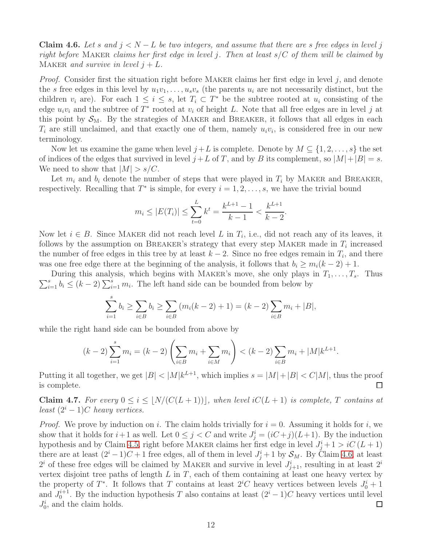<span id="page-11-0"></span>Claim 4.6. Let s and  $j < N - L$  be two integers, and assume that there are s free edges in level j *right before* Maker *claims her first edge in level* j*. Then at least* s/C *of them will be claimed by* MAKER *and survive in level*  $j + L$ .

*Proof.* Consider first the situation right before MAKER claims her first edge in level  $j$ , and denote the s free edges in this level by  $u_1v_1, \ldots, u_sv_s$  (the parents  $u_i$  are not necessarily distinct, but the children  $v_i$  are). For each  $1 \leq i \leq s$ , let  $T_i \subset T^*$  be the subtree rooted at  $u_i$  consisting of the edge  $u_i v_i$  and the subtree of  $T^*$  rooted at  $v_i$  of height L. Note that all free edges are in level j at this point by  $S_M$ . By the strategies of MAKER and BREAKER, it follows that all edges in each  $T_i$  are still unclaimed, and that exactly one of them, namely  $u_i v_i$ , is considered free in our new terminology.

Now let us examine the game when level  $j+L$  is complete. Denote by  $M \subseteq \{1, 2, ..., s\}$  the set of indices of the edges that survived in level  $j + L$  of T, and by B its complement, so  $|M| + |B| = s$ . We need to show that  $|M| > s/C$ .

Let  $m_i$  and  $b_i$  denote the number of steps that were played in  $T_i$  by MAKER and BREAKER, respectively. Recalling that  $T^*$  is simple, for every  $i = 1, 2, \ldots, s$ , we have the trivial bound

$$
m_i \le |E(T_i)| \le \sum_{t=0}^L k^t = \frac{k^{L+1} - 1}{k - 1} < \frac{k^{L+1}}{k - 2}.
$$

Now let  $i \in B$ . Since MAKER did not reach level L in  $T_i$ , i.e., did not reach any of its leaves, it follows by the assumption on BREAKER's strategy that every step MAKER made in  $T_i$  increased the number of free edges in this tree by at least  $k-2$ . Since no free edges remain in  $T_i$ , and there was one free edge there at the beginning of the analysis, it follows that  $b_i \geq m_i(k-2)+1$ .

 $\sum_{i=1}^{s} b_i \leq (k-2) \sum_{i=1}^{s} m_i$ . The left hand side can be bounded from below by During this analysis, which begins with MAKER's move, she only plays in  $T_1, \ldots, T_s$ . Thus

$$
\sum_{i=1}^{s} b_i \ge \sum_{i \in B} b_i \ge \sum_{i \in B} (m_i(k-2) + 1) = (k-2) \sum_{i \in B} m_i + |B|,
$$

while the right hand side can be bounded from above by

$$
(k-2)\sum_{i=1}^{s} m_i = (k-2)\left(\sum_{i \in B} m_i + \sum_{i \in M} m_i\right) < (k-2)\sum_{i \in B} m_i + |M|k^{L+1}.
$$

Putting it all together, we get  $|B| < |M|k^{L+1}$ , which implies  $s = |M| + |B| < C|M|$ , thus the proof is complete.

<span id="page-11-1"></span>Claim 4.7. For every  $0 \le i \le \lfloor N/(C(L+1)) \rfloor$ , when level  $iC(L+1)$  is complete, T contains at *least*  $(2^{i} - 1)C$  *heavy vertices.* 

*Proof.* We prove by induction on i. The claim holds trivially for  $i = 0$ . Assuming it holds for i, we show that it holds for  $i+1$  as well. Let  $0 \leq j < C$  and write  $J_j^i = (iC+j)(L+1)$ . By the induction hypothesis and by Claim [4.5,](#page-10-1) right before MAKER claims her first edge in level  $J_j^i + 1 > iC(L+1)$ there are at least  $(2^{i} - 1)C + 1$  free edges, all of them in level  $J_j^i + 1$  by  $\mathcal{S}_M$ . By Claim [4.6,](#page-11-0) at least  $2^i$  of these free edges will be claimed by MAKER and survive in level  $J_{j+1}^i$ , resulting in at least  $2^i$ vertex disjoint tree paths of length  $L$  in  $T$ , each of them containing at least one heavy vertex by the property of  $T^*$ . It follows that T contains at least  $2^iC$  heavy vertices between levels  $J_0^i + 1$ and  $J_0^{i+1}$ . By the induction hypothesis T also contains at least  $(2^i - 1)C$  heavy vertices until level  $J_0^i$ , and the claim holds.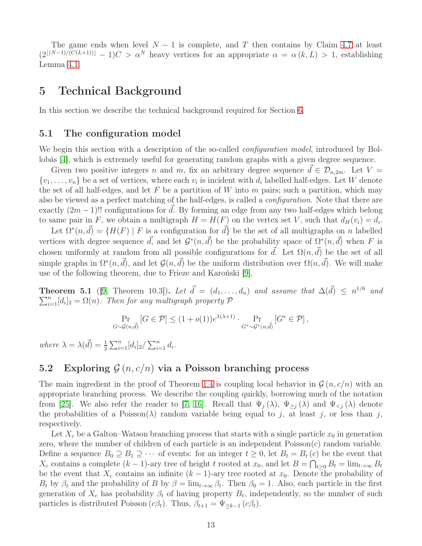The game ends when level  $N-1$  is complete, and T then contains by Claim [4.7](#page-11-1) at least  $(2^{\lfloor (N-1)/(C(L+1))\rfloor}-1)C > \alpha^N$  heavy vertices for an appropriate  $\alpha = \alpha(k, L) > 1$ , establishing Lemma [4.1.](#page-8-1)

## <span id="page-12-0"></span>5 Technical Background

In this section we describe the technical background required for Section [6.](#page-15-0)

#### 5.1 The configuration model

We begin this section with a description of the so-called *configuration model*, introduced by Bollobás [\[4\]](#page-29-12), which is extremely useful for generating random graphs with a given degree sequence.

Given two positive integers n and m, fix an arbitrary degree sequence  $d \in \mathcal{D}_{n,2m}$ . Let  $V =$  $\{v_1, \ldots, v_n\}$  be a set of vertices, where each  $v_i$  is incident with  $d_i$  labelled half-edges. Let W denote the set of all half-edges, and let F be a partition of W into m pairs; such a partition, which may also be viewed as a perfect matching of the half-edges, is called a *configuration*. Note that there are exactly  $(2m - 1)!!$  configurations for d. By forming an edge from any two half-edges which belong to same pair in F, we obtain a multigraph  $H = H(F)$  on the vertex set V, such that  $d_H(v_i) = d_i$ .

Let  $\Omega^*(n, \vec{d}) = \{H(F) \mid F \text{ is a configuration for } \vec{d}\}\$  be the set of all multigraphs on n labelled vertices with degree sequence  $\vec{d}$ , and let  $\mathcal{G}^*(n, \vec{d})$  be the probability space of  $\Omega^*(n, \vec{d})$  when F is chosen uniformly at random from all possible configurations for  $\vec{d}$ . Let  $\Omega(n, \vec{d})$  be the set of all simple graphs in  $\Omega^*(n, \vec{d})$ , and let  $\mathcal{G}(n, \vec{d})$  be the uniform distribution over  $\Omega(n, \vec{d})$ . We will make use of the following theorem, due to Frieze and Karoński [\[9\]](#page-29-13).

<span id="page-12-2"></span>**Theorem 5.1** ([\[9,](#page-29-13) Theorem 10.3]). Let  $\vec{d} = (d_1, \ldots, d_n)$  and assume that  $\Delta(\vec{d}) \leq n^{1/6}$  and  $\sum_{i=1}^{n} [d_i]_2 = \Omega(n)$ . Then for any multigraph property  $\mathcal{P}$ 

$$
\Pr_{G \sim \mathcal{G}(n,\vec{d})} \left[ G \in \mathcal{P} \right] \le (1 + o(1))e^{\lambda(\lambda + 1)} \cdot \Pr_{G^* \sim \mathcal{G}^*(n,\vec{d})} \left[ G^* \in \mathcal{P} \right],
$$

*where*  $\lambda = \lambda(\vec{d}) = \frac{1}{2} \sum_{i=1}^{n} [d_i]_2 / \sum_{i=1}^{n} d_i$ .

### <span id="page-12-1"></span>5.2 Exploring  $\mathcal{G}(n, c/n)$  via a Poisson branching process

The main ingredient in the proof of Theorem [1.4](#page-3-1) is coupling local behavior in  $\mathcal{G}(n, c/n)$  with an appropriate branching process. We describe the coupling quickly, borrowing much of the notation from [\[25\]](#page-30-6). We also refer the reader to [\[7,](#page-29-8) [16\]](#page-30-5). Recall that  $\Psi_j(\lambda)$ ,  $\Psi_{\geq j}(\lambda)$  and  $\Psi_{\leq j}(\lambda)$  denote the probabilities of a Poisson( $\lambda$ ) random variable being equal to j, at least j, or less than j, respectively.

Let  $X_c$  be a Galton–Watson branching process that starts with a single particle  $x_0$  in generation zero, where the number of children of each particle is an independent  $Poisson(c)$  random variable. Define a sequence  $B_0 \supseteq B_1 \supseteq \cdots$  of events: for an integer  $t \geq 0$ , let  $B_t = B_t(c)$  be the event that  $X_c$  contains a complete  $(k-1)$ -ary tree of height t rooted at  $x_0$ , and let  $B = \bigcap_{t \geq 0} B_t = \lim_{t \to \infty} B_t$ be the event that  $X_c$  contains an infinite  $(k-1)$ -ary tree rooted at  $x_0$ . Denote the probability of  $B_t$  by  $\beta_t$  and the probability of B by  $\beta = \lim_{t\to\infty} \beta_t$ . Then  $\beta_0 = 1$ . Also, each particle in the first generation of  $X_c$  has probability  $\beta_t$  of having property  $B_t$ , independently, so the number of such particles is distributed Poisson  $(c\beta_t)$ . Thus,  $\beta_{t+1} = \Psi_{\geq k-1} (c\beta_t)$ .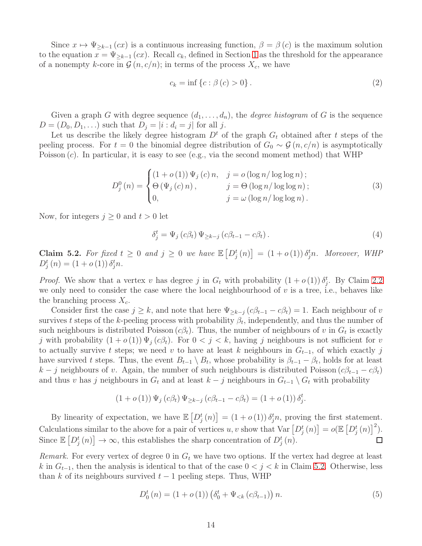Since  $x \mapsto \Psi_{\geq k-1}(cx)$  is a continuous increasing function,  $\beta = \beta(c)$  is the maximum solution to the equation  $x = \Psi_{\geq k-1}(cx)$ . Recall  $c_k$ , defined in Section [1](#page-1-0) as the threshold for the appearance of a nonempty k-core in  $\mathcal{G}(n, c/n)$ ; in terms of the process  $X_c$ , we have

<span id="page-13-2"></span>
$$
c_k = \inf \left\{ c : \beta(c) > 0 \right\}. \tag{2}
$$

Given a graph G with degree sequence  $(d_1, \ldots, d_n)$ , the *degree histogram* of G is the sequence  $D = (D_0, D_1, \ldots)$  such that  $D_i = |i : d_i = j|$  for all j.

Let us describe the likely degree histogram  $D<sup>t</sup>$  of the graph  $G<sub>t</sub>$  obtained after t steps of the peeling process. For  $t = 0$  the binomial degree distribution of  $G_0 \sim \mathcal{G}(n, c/n)$  is asymptotically Poisson  $(c)$ . In particular, it is easy to see (e.g., via the second moment method) that WHP

<span id="page-13-1"></span>
$$
D_j^0(n) = \begin{cases} (1 + o(1)) \Psi_j(c) n, & j = o(\log n / \log \log n); \\ \Theta(\Psi_j(c) n), & j = \Theta(\log n / \log \log n); \\ 0, & j = \omega(\log n / \log \log n). \end{cases}
$$
(3)

Now, for integers  $j \geq 0$  and  $t > 0$  let

$$
\delta_j^t = \Psi_j(c\beta_t) \Psi_{\geq k-j} (c\beta_{t-1} - c\beta_t).
$$
\n(4)

<span id="page-13-0"></span>Claim 5.2. For fixed  $t \geq 0$  and  $j \geq 0$  we have  $\mathbb{E}\left[D_j^t(n)\right] = (1+o(1))\,\delta_j^t n$ . Moreover, WHP  $D_j^t(n) = (1 + o(1)) \delta_j^t n.$ 

*Proof.* We show that a vertex v has degree j in  $G_t$  with probability  $(1 + o(1)) \delta_j^t$ . By Claim [2.2](#page-5-2) we only need to consider the case where the local neighbourhood of  $v$  is a tree, i.e., behaves like the branching process  $X_c$ .

Consider first the case  $j \geq k$ , and note that here  $\Psi_{\geq k-j} (c\beta_{t-1} - c\beta_t) = 1$ . Each neighbour of v survives t steps of the k-peeling process with probability  $\beta_t$ , independently, and thus the number of such neighbours is distributed Poisson  $(c\beta_t)$ . Thus, the number of neighbours of v in  $G_t$  is exactly j with probability  $(1+o(1))\Psi_i(c\beta_t)$ . For  $0 < j < k$ , having j neighbours is not sufficient for v to actually survive t steps; we need v to have at least k neighbours in  $G_{t-1}$ , of which exactly j have survived t steps. Thus, the event  $B_{t-1} \setminus B_t$ , whose probability is  $\beta_{t-1} - \beta_t$ , holds for at least  $k - j$  neighbours of v. Again, the number of such neighbours is distributed Poisson  $(c\beta_{t-1} - c\beta_t)$ and thus v has j neighbours in  $G_t$  and at least  $k - j$  neighbours in  $G_{t-1} \setminus G_t$  with probability

$$
(1 + o(1)) \Psi_j(c\beta_t) \Psi_{\geq k-j} (c\beta_{t-1} - c\beta_t) = (1 + o(1)) \delta_j^t.
$$

By linearity of expectation, we have  $\mathbb{E}\left[D_j^t(n)\right] = (1+o(1))\,\delta_j^t n$ , proving the first statement. Calculations similar to the above for a pair of vertices u, v show that  $Var[D_j^t(n)] = o(\mathbb{E}[D_j^t(n)]^2)$ . Since  $\mathbb{E}\left[D_j^t(n)\right] \to \infty$ , this establishes the sharp concentration of  $D_j^t(n)$ .  $\Box$ 

*Remark.* For every vertex of degree 0 in  $G_t$  we have two options. If the vertex had degree at least k in  $G_{t-1}$ , then the analysis is identical to that of the case  $0 < j < k$  in Claim [5.2.](#page-13-0) Otherwise, less than k of its neighbours survived  $t-1$  peeling steps. Thus, WHP

$$
D_0^t(n) = (1 + o(1)) \left( \delta_0^t + \Psi_{< k} (c \beta_{t-1}) \right) n. \tag{5}
$$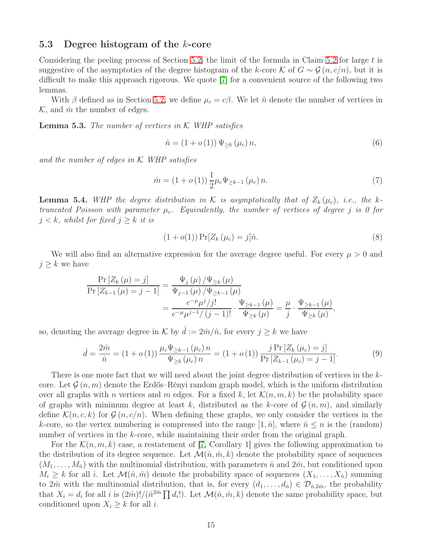#### <span id="page-14-2"></span>5.3 Degree histogram of the  $k$ -core

Considering the peeling process of Section [5.2,](#page-12-1) the limit of the formula in Claim [5.2](#page-13-0) for large  $t$  is suggestive of the asymptotics of the degree histogram of the k-core K of  $G \sim \mathcal{G}(n, c/n)$ , but it is difficult to make this approach rigorous. We quote [\[7\]](#page-29-8) for a convenient source of the following two lemmas.

With  $\beta$  defined as in Section [5.2,](#page-12-1) we define  $\mu_c = c\beta$ . We let  $\hat{n}$  denote the number of vertices in  $\mathcal{K}$ , and  $\hat{m}$  the number of edges.

<span id="page-14-4"></span>Lemma 5.3. *The number of vertices in* K *WHP satisfies*

<span id="page-14-0"></span>
$$
\hat{n} = (1 + o(1)) \Psi_{\geq k} (\mu_c) n,
$$
\n(6)

*and the number of edges in* K *WHP satisfies*

<span id="page-14-1"></span>
$$
\hat{m} = (1 + o(1)) \frac{1}{2} \mu_c \Psi_{\geq k-1} (\mu_c) n. \tag{7}
$$

<span id="page-14-5"></span>**Lemma 5.4.** WHP the degree distribution in K is asymptotically that of  $Z_k(\mu_c)$ , i.e., the k*truncated Poisson with parameter*  $\mu_c$ *. Equivalently, the number of vertices of degree j is 0 for*  $j < k$ *, whilst for fixed*  $j > k$  *it is* 

<span id="page-14-3"></span>
$$
(1 + o(1)) \Pr[Z_k(\mu_c) = j] \hat{n}.
$$
\n(8)

We will also find an alternative expression for the average degree useful. For every  $\mu > 0$  and  $j \geq k$  we have

$$
\frac{\Pr\left[Z_{k}\left(\mu\right) = j\right]}{\Pr\left[Z_{k-1}\left(\mu\right) = j - 1\right]} = \frac{\Psi_{j}\left(\mu\right)/\Psi_{\geq k}\left(\mu\right)}{\Psi_{j-1}\left(\mu\right)/\Psi_{\geq k-1}\left(\mu\right)} = \frac{e^{-\mu}\mu^{j}/j!}{e^{-\mu}\mu^{j-1}/(j-1)!} \cdot \frac{\Psi_{\geq k-1}\left(\mu\right)}{\Psi_{\geq k}\left(\mu\right)} = \frac{\mu}{j} \cdot \frac{\Psi_{\geq k-1}\left(\mu\right)}{\Psi_{\geq k}\left(\mu\right)},
$$

so, denoting the average degree in K by  $\hat{d} := 2\hat{m}/\hat{n}$ , for every  $j \geq k$  we have

<span id="page-14-6"></span>
$$
\hat{d} = \frac{2\hat{m}}{\hat{n}} = (1 + o(1)) \frac{\mu_c \Psi_{\ge k-1}(\mu_c) n}{\Psi_{\ge k}(\mu_c) n} = (1 + o(1)) \frac{j \Pr[Z_k(\mu_c) = j]}{\Pr[Z_{k-1}(\mu_c) = j - 1]}.
$$
\n(9)

There is one more fact that we will need about the joint degree distribution of vertices in the kcore. Let  $\mathcal{G}(n,m)$  denote the Erdős–Rényi random graph model, which is the uniform distribution over all graphs with n vertices and m edges. For a fixed k, let  $\mathcal{K}(n, m, k)$  be the probability space of graphs with minimum degree at least k, distributed as the k-core of  $\mathcal{G}(n,m)$ , and similarly define  $\mathcal{K}(n, c, k)$  for  $\mathcal{G}(n, c/n)$ . When defining these graphs, we only consider the vertices in the k-core, so the vertex numbering is compressed into the range  $[1, \hat{n}]$ , where  $\hat{n} \leq n$  is the (random) number of vertices in the k-core, while maintaining their order from the original graph.

For the  $\mathcal{K}(n, m, k)$  case, a restatement of [\[7,](#page-29-8) Corollary 1] gives the following approximation to the distribution of its degree sequence. Let  $\mathcal{M}(\hat{n}, \hat{m}, k)$  denote the probability space of sequences  $(M_1, \ldots, M_{\hat{n}})$  with the multinomial distribution, with parameters  $\hat{n}$  and  $2\hat{m}$ , but conditioned upon  $M_i \geq k$  for all i. Let  $\mathcal{M}(\hat{n}, \hat{m})$  denote the probability space of sequences  $(X_1, \ldots, X_{\hat{n}})$  summing to  $2\hat{m}$  with the multinomial distribution, that is, for every  $(d_1, \ldots, d_{\hat{n}}) \in \mathcal{D}_{\hat{n},2\hat{m}}$ , the probability that  $X_i = d_i$  for all i is  $(2\hat{m})!/(\hat{n}^{2\hat{m}} \prod d_i!)$ . Let  $\mathcal{M}(\hat{n}, \hat{m}, k)$  denote the same probability space, but conditioned upon  $X_i \geq k$  for all i.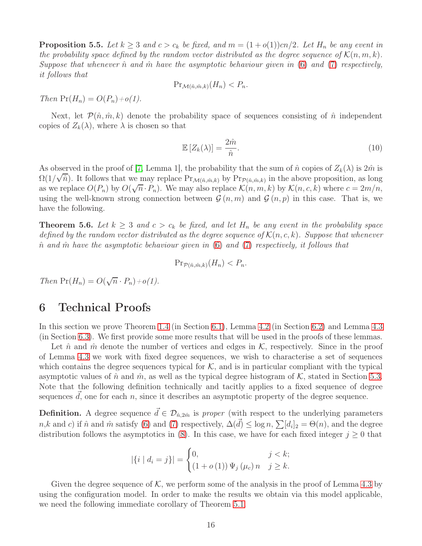**Proposition 5.5.** Let  $k \geq 3$  and  $c > c_k$  be fixed, and  $m = (1 + o(1))cn/2$ . Let  $H_n$  be any event in *the probability space defined by the random vector distributed as the degree sequence of*  $\mathcal{K}(n, m, k)$ *. Suppose that whenever*  $\hat{n}$  *and*  $\hat{m}$  *have the asymptotic behaviour given in* [\(6\)](#page-14-0) *and* [\(7\)](#page-14-1) *respectively, it follows that*

$$
\Pr_{\mathcal{M}(\hat{n},\hat{m},k)}(H_n) < P_n.
$$

*Then*  $Pr(H_n) = O(P_n) + o(1)$ .

Next, let  $\mathcal{P}(\hat{n}, \hat{m}, k)$  denote the probability space of sequences consisting of  $\hat{n}$  independent copies of  $Z_k(\lambda)$ , where  $\lambda$  is chosen so that

<span id="page-15-2"></span>
$$
\mathbb{E}\left[Z_k(\lambda)\right] = \frac{2\hat{m}}{\hat{n}}.\tag{10}
$$

As observed in the proof of [\[7,](#page-29-8) Lemma 1], the probability that the sum of  $\hat{n}$  copies of  $Z_k(\lambda)$  is  $2\hat{m}$  is  $\Omega(1/\sqrt{\hat{n}})$ . It follows that we may replace  $Pr_{\mathcal{M}(\hat{n},\hat{m},k)}$  by  $Pr_{\mathcal{P}(\hat{n},\hat{m},k)}$  in the above proposition, as long as we replace  $O(P_n)$  by  $O(\sqrt{n} \cdot P_n)$ . We may also replace  $\mathcal{K}(n, m, k)$  by  $\mathcal{K}(n, c, k)$  where  $c = 2m/n$ , using the well-known strong connection between  $\mathcal{G}(n,m)$  and  $\mathcal{G}(n,p)$  in this case. That is, we have the following.

<span id="page-15-1"></span>**Theorem 5.6.** Let  $k \geq 3$  and  $c > c_k$  be fixed, and let  $H_n$  be any event in the probability space *defined by the random vector distributed as the degree sequence of*  $\mathcal{K}(n, c, k)$ *. Suppose that whenever* nˆ *and* mˆ *have the asymptotic behaviour given in* [\(6\)](#page-14-0) *and* [\(7\)](#page-14-1) *respectively, it follows that*

$$
\Pr_{\mathcal{P}(\hat{n},\hat{m},k)}(H_n) < P_n.
$$

*Then*  $Pr(H_n) = O(\sqrt{n} \cdot P_n) + o(1)$ *.* 

## <span id="page-15-0"></span>6 Technical Proofs

In this section we prove Theorem [1.4](#page-3-1) (in Section [6.1\)](#page-19-0), Lemma [4.2](#page-9-0) (in Section [6.2\)](#page-20-0) and Lemma [4.3](#page-9-1) (in Section [6.3\)](#page-24-0). We first provide some more results that will be used in the proofs of these lemmas.

Let  $\hat{n}$  and  $\hat{m}$  denote the number of vertices and edges in  $K$ , respectively. Since in the proof of Lemma [4.3](#page-9-1) we work with fixed degree sequences, we wish to characterise a set of sequences which contains the degree sequences typical for  $K$ , and is in particular compliant with the typical asymptotic values of  $\hat{n}$  and  $\hat{m}$ , as well as the typical degree histogram of K, stated in Section [5.3.](#page-14-2) Note that the following definition technically and tacitly applies to a fixed sequence of degree sequences  $d$ , one for each n, since it describes an asymptotic property of the degree sequence.

**Definition.** A degree sequence  $\vec{d} \in \mathcal{D}_{\hat{n}, 2\hat{m}}$  is *proper* (with respect to the underlying parameters  $n, k$  and c) if  $\hat{n}$  and  $\hat{m}$  satisfy [\(6\)](#page-14-0) and [\(7\)](#page-14-1) respectively,  $\Delta(\vec{d}) \leq \log n$ ,  $\sum [d_i]_2 = \Theta(n)$ , and the degree distribution follows the asymptotics in [\(8\)](#page-14-3). In this case, we have for each fixed integer  $j \geq 0$  that

$$
|\{i \mid d_i = j\}| = \begin{cases} 0, & j < k; \\ (1 + o(1)) \Psi_j(\mu_c) n & j \ge k. \end{cases}
$$

Given the degree sequence of  $K$ , we perform some of the analysis in the proof of Lemma [4.3](#page-9-1) by using the configuration model. In order to make the results we obtain via this model applicable, we need the following immediate corollary of Theorem [5.1.](#page-12-2)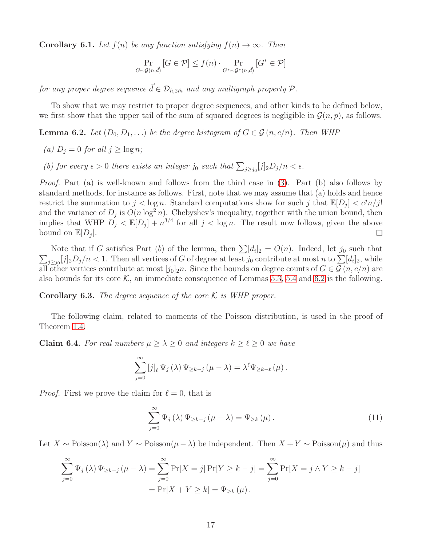<span id="page-16-4"></span>**Corollary 6.1.** *Let*  $f(n)$  *be any function satisfying*  $f(n) \rightarrow \infty$ *. Then* 

$$
\Pr_{G \sim \mathcal{G}(n,\vec{d})} [G \in \mathcal{P}] \le f(n) \cdot \Pr_{G^* \sim \mathcal{G}^*(n,\vec{d})} [G^* \in \mathcal{P}]
$$

*for any proper degree sequence*  $\vec{d} \in \mathcal{D}_{\hat{n}, 2\hat{m}}$  *and any multigraph property*  $\mathcal{P}$ *.* 

To show that we may restrict to proper degree sequences, and other kinds to be defined below, we first show that the upper tail of the sum of squared degrees is negligible in  $\mathcal{G}(n, p)$ , as follows.

<span id="page-16-0"></span>**Lemma 6.2.** *Let*  $(D_0, D_1, ...)$  *be the degree histogram of*  $G \in \mathcal{G}(n, c/n)$ *. Then WHP* 

- *(a)*  $D_j = 0$  *for all*  $j \geq \log n$ *;*
- (b) for every  $\epsilon > 0$  there exists an integer  $j_0$  such that  $\sum_{j \ge j_0} [j]_2 D_j/n < \epsilon$ .

*Proof.* Part (a) is well-known and follows from the third case in [\(3\)](#page-13-1). Part (b) also follows by standard methods, for instance as follows. First, note that we may assume that (a) holds and hence restrict the summation to  $j < \log n$ . Standard computations show for such j that  $\mathbb{E}[D_j] < c^j n/j!$ and the variance of  $D_j$  is  $O(n \log^2 n)$ . Chebyshev's inequality, together with the union bound, then implies that WHP  $D_j < \mathbb{E}[D_j] + n^{3/4}$  for all  $j < \log n$ . The result now follows, given the above bound on  $\mathbb{E}[D_j]$ .  $\Box$ 

Note that if G satisfies Part (b) of the lemma, then  $\sum [d_i]_2 = O(n)$ . Indeed, let  $j_0$  such that  $\sum_{j\geq j_0}[j]_2D_j/n < 1$ . Then all vertices of G of degree at least  $j_0$  contribute at most n to  $\sum[d_i]_2$ , while all other vertices contribute at most  $[j_0]_2 n$ . Since the bounds on degree counts of  $G \in \mathcal{G}(n, c/n)$  are also bounds for its core  $\mathcal{K}$ , an immediate consequence of Lemmas [5.3,](#page-14-4) [5.4](#page-14-5) and [6.2](#page-16-0) is the following.

<span id="page-16-3"></span>**Corollary 6.3.** *The degree sequence of the core*  $K$  *is WHP proper.* 

The following claim, related to moments of the Poisson distribution, is used in the proof of Theorem [1.4.](#page-3-1)

<span id="page-16-2"></span>**Claim 6.4.** For real numbers  $\mu \geq \lambda \geq 0$  and integers  $k \geq \ell \geq 0$  we have

$$
\sum_{j=0}^{\infty} [j]_{\ell} \Psi_j(\lambda) \Psi_{\geq k-j}(\mu-\lambda) = \lambda^{\ell} \Psi_{\geq k-\ell}(\mu).
$$

*Proof.* First we prove the claim for  $\ell = 0$ , that is

<span id="page-16-1"></span>
$$
\sum_{j=0}^{\infty} \Psi_j(\lambda) \Psi_{\geq k-j}(\mu - \lambda) = \Psi_{\geq k}(\mu).
$$
 (11)

Let  $X \sim \text{Poisson}(\lambda)$  and  $Y \sim \text{Poisson}(\mu - \lambda)$  be independent. Then  $X + Y \sim \text{Poisson}(\mu)$  and thus

$$
\sum_{j=0}^{\infty} \Psi_j(\lambda) \Psi_{\geq k-j}(\mu - \lambda) = \sum_{j=0}^{\infty} \Pr[X = j] \Pr[Y \geq k - j] = \sum_{j=0}^{\infty} \Pr[X = j \land Y \geq k - j]
$$

$$
= \Pr[X + Y \geq k] = \Psi_{\geq k}(\mu).
$$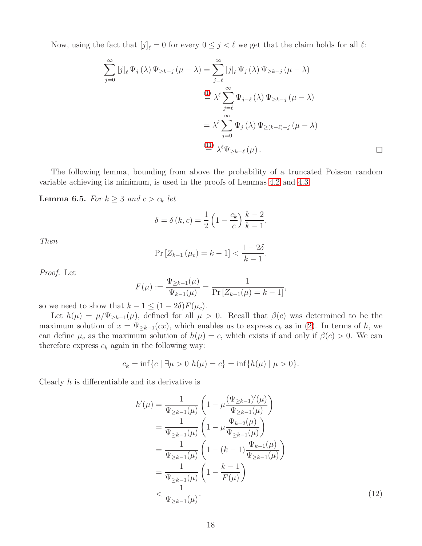Now, using the fact that  $[j]_\ell = 0$  for every  $0 \leq j < \ell$  we get that the claim holds for all  $\ell$ :

$$
\sum_{j=0}^{\infty} [j]_{\ell} \Psi_{j}(\lambda) \Psi_{\geq k-j}(\mu - \lambda) = \sum_{j=\ell}^{\infty} [j]_{\ell} \Psi_{j}(\lambda) \Psi_{\geq k-j}(\mu - \lambda)
$$

$$
\stackrel{(1)}{=} \lambda^{\ell} \sum_{j=\ell}^{\infty} \Psi_{j-\ell}(\lambda) \Psi_{\geq k-j}(\mu - \lambda)
$$

$$
= \lambda^{\ell} \sum_{j=0}^{\infty} \Psi_{j}(\lambda) \Psi_{\geq (k-\ell)-j}(\mu - \lambda)
$$

$$
\stackrel{(11)}{=} \lambda^{\ell} \Psi_{\geq k-\ell}(\mu).
$$

The following lemma, bounding from above the probability of a truncated Poisson random variable achieving its minimum, is used in the proofs of Lemmas [4.2](#page-9-0) and [4.3.](#page-9-1)

<span id="page-17-1"></span>**Lemma 6.5.** *For*  $k \geq 3$  *and*  $c > c_k$  *let* 

$$
\delta = \delta(k, c) = \frac{1}{2} \left( 1 - \frac{c_k}{c} \right) \frac{k-2}{k-1}.
$$

*Then*

$$
\Pr\left[Z_{k-1}\left(\mu_c\right) = k-1\right] < \frac{1-2\delta}{k-1}.
$$

*Proof.* Let

$$
F(\mu) := \frac{\Psi_{\geq k-1}(\mu)}{\Psi_{k-1}(\mu)} = \frac{1}{\Pr\left[Z_{k-1}(\mu) = k-1\right]},
$$

so we need to show that  $k - 1 \leq (1 - 2\delta)F(\mu_c)$ .

Let  $h(\mu) = \mu/\Psi_{\geq k-1}(\mu)$ , defined for all  $\mu > 0$ . Recall that  $\beta(c)$  was determined to be the maximum solution of  $x = \Psi_{\geq k-1}(cx)$ , which enables us to express  $c_k$  as in [\(2\)](#page-13-2). In terms of h, we can define  $\mu_c$  as the maximum solution of  $h(\mu) = c$ , which exists if and only if  $\beta(c) > 0$ . We can therefore express  $c_k$  again in the following way:

$$
c_k = \inf\{c \mid \exists \mu > 0 \ h(\mu) = c\} = \inf\{h(\mu) \mid \mu > 0\}.
$$

Clearly  $h$  is differentiable and its derivative is

<span id="page-17-0"></span>
$$
h'(\mu) = \frac{1}{\Psi_{\geq k-1}(\mu)} \left( 1 - \mu \frac{(\Psi_{\geq k-1})'(\mu)}{\Psi_{\geq k-1}(\mu)} \right)
$$
  
\n
$$
= \frac{1}{\Psi_{\geq k-1}(\mu)} \left( 1 - \mu \frac{\Psi_{k-2}(\mu)}{\Psi_{\geq k-1}(\mu)} \right)
$$
  
\n
$$
= \frac{1}{\Psi_{\geq k-1}(\mu)} \left( 1 - (k-1) \frac{\Psi_{k-1}(\mu)}{\Psi_{\geq k-1}(\mu)} \right)
$$
  
\n
$$
= \frac{1}{\Psi_{\geq k-1}(\mu)} \left( 1 - \frac{k-1}{F(\mu)} \right)
$$
  
\n
$$
< \frac{1}{\Psi_{\geq k-1}(\mu)}.
$$
\n(12)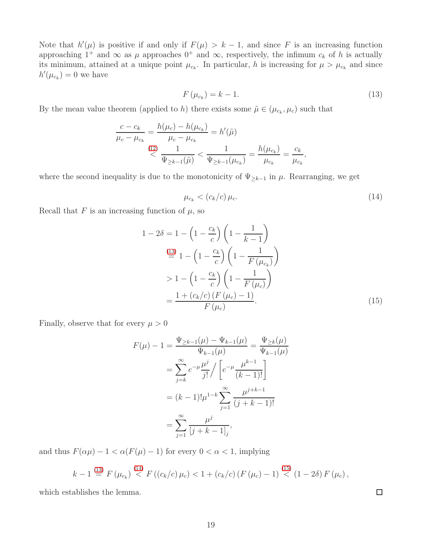Note that  $h'(\mu)$  is positive if and only if  $F(\mu) > k - 1$ , and since F is an increasing function approaching  $1^+$  and  $\infty$  as  $\mu$  approaches  $0^+$  and  $\infty$ , respectively, the infimum  $c_k$  of h is actually its minimum, attained at a unique point  $\mu_{c_k}$ . In particular, h is increasing for  $\mu > \mu_{c_k}$  and since  $h'(\mu_{c_k})=0$  we have

<span id="page-18-0"></span>
$$
F\left(\mu_{c_k}\right) = k - 1.\tag{13}
$$

By the mean value theorem (applied to h) there exists some  $\tilde{\mu} \in (\mu_{c_k}, \mu_c)$  such that

$$
\frac{c - c_k}{\mu_c - \mu_{c_k}} = \frac{h(\mu_c) - h(\mu_{c_k})}{\mu_c - \mu_{c_k}} = h'(\tilde{\mu})
$$
\n
$$
\begin{aligned}\n\langle \frac{(12)}{\Psi_{\geq k-1}(\tilde{\mu})} < \frac{1}{\Psi_{\geq k-1}(\mu_{c_k})} = \frac{h(\mu_{c_k})}{\mu_{c_k}} = \frac{c_k}{\mu_{c_k}},\n\end{aligned}
$$

where the second inequality is due to the monotonicity of  $\Psi_{\geq k-1}$  in  $\mu$ . Rearranging, we get

<span id="page-18-1"></span>
$$
\mu_{c_k} < (c_k/c)\,\mu_c. \tag{14}
$$

Recall that  $F$  is an increasing function of  $\mu$ , so

$$
1 - 2\delta = 1 - \left(1 - \frac{c_k}{c}\right) \left(1 - \frac{1}{k - 1}\right)
$$

$$
\stackrel{(13)}{=} 1 - \left(1 - \frac{c_k}{c}\right) \left(1 - \frac{1}{F(\mu_{c_k})}\right)
$$

$$
> 1 - \left(1 - \frac{c_k}{c}\right) \left(1 - \frac{1}{F(\mu_c)}\right)
$$

$$
= \frac{1 + (c_k/c) \left(F(\mu_c) - 1\right)}{F(\mu_c)}.
$$
(15)

Finally, observe that for every  $\mu > 0$ 

$$
F(\mu) - 1 = \frac{\Psi_{\geq k-1}(\mu) - \Psi_{k-1}(\mu)}{\Psi_{k-1}(\mu)} = \frac{\Psi_{\geq k}(\mu)}{\Psi_{k-1}(\mu)}
$$
  
= 
$$
\sum_{j=k}^{\infty} e^{-\mu} \frac{\mu^j}{j!} / \left[ e^{-\mu} \frac{\mu^{k-1}}{(k-1)!} \right]
$$
  
= 
$$
(k-1)! \mu^{1-k} \sum_{j=1}^{\infty} \frac{\mu^{j+k-1}}{(j+k-1)!}
$$
  
= 
$$
\sum_{j=1}^{\infty} \frac{\mu^j}{[j+k-1]_j},
$$

and thus  $F(\alpha\mu) - 1 < \alpha(F(\mu) - 1)$  for every  $0 < \alpha < 1$ , implying

$$
k-1 \stackrel{(13)}{=} F(\mu_{c_k}) \stackrel{(14)}{<} F((c_k/c)\,\mu_c) < 1 + (c_k/c)\,(F(\mu_c) - 1) \stackrel{(15)}{<} (1-2\delta) F(\mu_c),
$$

which establishes the lemma.

<span id="page-18-2"></span> $\Box$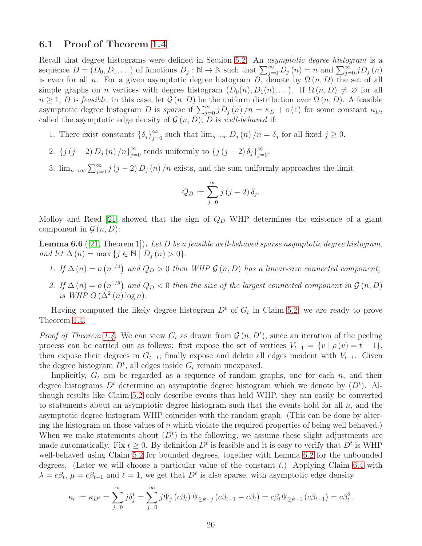#### <span id="page-19-0"></span>6.1 Proof of Theorem [1.4](#page-3-1)

Recall that degree histograms were defined in Section [5.2.](#page-12-1) An *asymptotic degree histogram* is a sequence  $D = (D_0, D_1, \ldots)$  of functions  $D_j : \mathbb{N} \to \mathbb{N}$  such that  $\sum_{j=0}^{\infty} D_j(n) = n$  and  $\sum_{j=0}^{\infty} j D_j(n)$ is even for all n. For a given asymptotic degree histogram D, denote by  $\Omega(n, D)$  the set of all simple graphs on n vertices with degree histogram  $(D_0(n), D_1(n), ...)$ . If  $\Omega(n, D) \neq \emptyset$  for all  $n \geq 1$ , D is *feasible*; in this case, let  $\mathcal{G}(n, D)$  be the uniform distribution over  $\Omega(n, D)$ . A feasible asymptotic degree histogram D is *sparse* if  $\sum_{j=0}^{\infty} jD_j(n)/n = \kappa_D + o(1)$  for some constant  $\kappa_D$ , called the asymptotic edge density of  $\mathcal{G}(n, D)$ ; D is *well-behaved* if:

- 1. There exist constants  $\{\delta_j\}_{j=0}^{\infty}$  such that  $\lim_{n\to\infty} D_j(n)/n = \delta_j$  for all fixed  $j \geq 0$ .
- 2. { $j(j-2) D_j(n)/n_{j=0}^{\infty}$  tends uniformly to { $j(j-2) \delta_j_{j=0}^{\infty}$ .
- 3.  $\lim_{n\to\infty}\sum_{j=0}^{\infty}j(j-2)D_j(n)/n$  exists, and the sum uniformly approaches the limit

$$
Q_D := \sum_{j=0}^{\infty} j (j-2) \, \delta_j.
$$

Molloy and Reed [\[21\]](#page-30-11) showed that the sign of  $Q_D$  WHP determines the existence of a giant component in  $\mathcal{G}(n, D)$ :

<span id="page-19-1"></span>Lemma 6.6 ([\[21,](#page-30-11) Theorem 1]). *Let* D *be a feasible well-behaved sparse asymptotic degree histogram, and let*  $\Delta(n) = \max\{j \in \mathbb{N} \mid D_j(n) > 0\}.$ 

- *1.* If  $\Delta(n) = o(n^{1/4})$  and  $Q_D > 0$  then WHP  $\mathcal{G}(n, D)$  has a linear-size connected component;
- 2. If  $\Delta(n) = o(n^{1/8})$  and  $Q_D < 0$  then the size of the largest connected component in  $\mathcal{G}(n, D)$ is WHP  $O(\Delta^2(n) \log n)$ .

Having computed the likely degree histogram  $D<sup>t</sup>$  of  $G<sub>t</sub>$  in Claim [5.2,](#page-13-0) we are ready to prove Theorem [1.4.](#page-3-1)

*Proof of Theorem [1.4.](#page-3-1)* We can view  $G_t$  as drawn from  $\mathcal{G}(n, D^t)$ , since an iteration of the peeling process can be carried out as follows: first expose the set of vertices  $V_{t-1} = \{v \mid \rho(v) = t-1\},\$ then expose their degrees in  $G_{t-1}$ ; finally expose and delete all edges incident with  $V_{t-1}$ . Given the degree histogram  $D<sup>t</sup>$ , all edges inside  $G<sub>t</sub>$  remain unexposed.

Implicitly,  $G_t$  can be regarded as a sequence of random graphs, one for each n, and their degree histograms  $D<sup>t</sup>$  determine an asymptotic degree histogram which we denote by  $(D<sup>t</sup>)$ . Although results like Claim [5.2](#page-13-0) only describe events that hold WHP, they can easily be converted to statements about an asymptotic degree histogram such that the events hold for all  $n$ , and the asymptotic degree histogram WHP coincides with the random graph. (This can be done by altering the histogram on those values of n which violate the required properties of being well behaved.) When we make statements about  $(D<sup>t</sup>)$  in the following, we assume these slight adjustments are made automatically. Fix  $t \geq 0$ . By definition  $D<sup>t</sup>$  is feasible and it is easy to verify that  $D<sup>t</sup>$  is WHP well-behaved using Claim [5.2](#page-13-0) for bounded degrees, together with Lemma [6.2](#page-16-0) for the unbounded degrees. (Later we will choose a particular value of the constant t.) Applying Claim  $6.4$  with  $\lambda = c\beta_t$ ,  $\mu = c\beta_{t-1}$  and  $\ell = 1$ , we get that  $D^t$  is also sparse, with asymptotic edge density

$$
\kappa_t := \kappa_{D^t} = \sum_{j=0}^{\infty} j \delta_j^t = \sum_{j=0}^{\infty} j \Psi_j (c \beta_t) \Psi_{\geq k-j} (c \beta_{t-1} - c \beta_t) = c \beta_t \Psi_{\geq k-1} (c \beta_{t-1}) = c \beta_t^2.
$$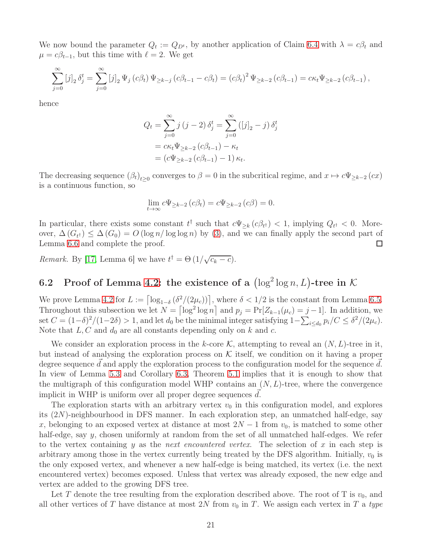We now bound the parameter  $Q_t := Q_{D^t}$ , by another application of Claim [6.4](#page-16-2) with  $\lambda = c\beta_t$  and  $\mu = c\beta_{t-1}$ , but this time with  $\ell = 2$ . We get

$$
\sum_{j=0}^{\infty} [j]_2 \delta_j^t = \sum_{j=0}^{\infty} [j]_2 \Psi_j(c\beta_t) \Psi_{\geq k-j} (c\beta_{t-1} - c\beta_t) = (c\beta_t)^2 \Psi_{\geq k-2} (c\beta_{t-1}) = c\kappa_t \Psi_{\geq k-2} (c\beta_{t-1}),
$$

hence

$$
Q_{t} = \sum_{j=0}^{\infty} j (j - 2) \delta_{j}^{t} = \sum_{j=0}^{\infty} ([j]_{2} - j) \delta_{j}^{t}
$$
  
=  $c\kappa_{t} \Psi_{\geq k-2} (c\beta_{t-1}) - \kappa_{t}$   
=  $(c\Psi_{\geq k-2} (c\beta_{t-1}) - 1) \kappa_{t}.$ 

The decreasing sequence  $(\beta_t)_{t\geq 0}$  converges to  $\beta = 0$  in the subcritical regime, and  $x \mapsto c\Psi_{\geq k-2}(cx)$ is a continuous function, so

$$
\lim_{t \to \infty} c\Psi_{\geq k-2} (c\beta_t) = c\Psi_{\geq k-2} (c\beta) = 0.
$$

In particular, there exists some constant  $t^{\dagger}$  such that  $c\Psi_{\geq k}(c\beta_{t^{\dagger}}) < 1$ , implying  $Q_{t^{\dagger}} < 0$ . Moreover,  $\Delta(G_{t}) \leq \Delta(G_0) = O(\log n/\log \log n)$  by [\(3\)](#page-13-1), and we can finally apply the second part of Lemma [6.6](#page-19-1) and complete the proof.

*Remark.* By [\[17,](#page-30-10) Lemma 6] we have  $t^{\dagger} = \Theta(1/\sqrt{c_k - c})$ .

# <span id="page-20-0"></span>6.2 Proof of Lemma [4.2:](#page-9-0) the existence of a  $(\log^2 \log n, L)$ -tree in K

We prove Lemma [4.2](#page-9-0) for  $L := \left[\log_{1-\delta} \left(\frac{\delta^2}{2\mu_c}\right)\right]$ , where  $\delta < 1/2$  is the constant from Lemma [6.5.](#page-17-1) Throughout this subsection we let  $N = \lceil \log^2 \log n \rceil$  and  $p_j = \Pr[Z_{k-1}(\mu_c) = j-1]$ . In addition, we set  $C = (1-\delta)^2/(1-2\delta) > 1$ , and let  $d_0$  be the minimal integer satisfying  $1-\sum_{i \leq d_0} p_i/C \leq \delta^2/(2\mu_c)$ . Note that  $L, C$  and  $d_0$  are all constants depending only on k and c.

We consider an exploration process in the k-core K, attempting to reveal an  $(N, L)$ -tree in it, but instead of analysing the exploration process on  $K$  itself, we condition on it having a proper degree sequence  $\vec{d}$  and apply the exploration process to the configuration model for the sequence  $\vec{d}$ . In view of Lemma [5.3](#page-14-4) and Corollary [6.3,](#page-16-3) Theorem [5.1](#page-12-2) implies that it is enough to show that the multigraph of this configuration model WHP contains an  $(N, L)$ -tree, where the convergence implicit in WHP is uniform over all proper degree sequences  $d$ .

The exploration starts with an arbitrary vertex  $v_0$  in this configuration model, and explores its (2N)-neighbourhood in DFS manner. In each exploration step, an unmatched half-edge, say x, belonging to an exposed vertex at distance at most  $2N-1$  from  $v_0$ , is matched to some other half-edge, say y, chosen uniformly at random from the set of all unmatched half-edges. We refer to the vertex containing y as the *next encountered vertex*. The selection of x in each step is arbitrary among those in the vertex currently being treated by the DFS algorithm. Initially,  $v_0$  is the only exposed vertex, and whenever a new half-edge is being matched, its vertex (i.e. the next encountered vertex) becomes exposed. Unless that vertex was already exposed, the new edge and vertex are added to the growing DFS tree.

Let T denote the tree resulting from the exploration described above. The root of T is  $v_0$ , and all other vertices of T have distance at most 2N from  $v_0$  in T. We assign each vertex in T a type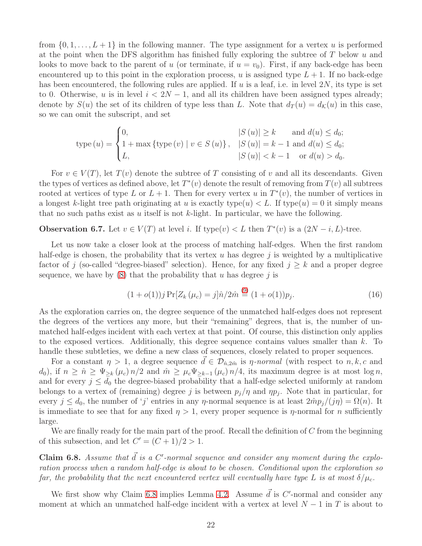from  $\{0, 1, \ldots, L+1\}$  in the following manner. The type assignment for a vertex u is performed at the point when the DFS algorithm has finished fully exploring the subtree of  $T$  below  $u$  and looks to move back to the parent of u (or terminate, if  $u = v_0$ ). First, if any back-edge has been encountered up to this point in the exploration process, u is assigned type  $L + 1$ . If no back-edge has been encountered, the following rules are applied. If u is a leaf, i.e. in level  $2N$ , its type is set to 0. Otherwise, u is in level  $i < 2N - 1$ , and all its children have been assigned types already; denote by  $S(u)$  the set of its children of type less than L. Note that  $d_T(u) = d_K(u)$  in this case, so we can omit the subscript, and set

$$
type (u) = \begin{cases} 0, & |S (u)| \ge k \text{ and } d(u) \le d_0; \\ 1 + \max \{ type (v) \mid v \in S (u) \}, & |S (u)| = k - 1 \text{ and } d(u) \le d_0; \\ L, & |S (u)| < k - 1 \text{ or } d(u) > d_0. \end{cases}
$$

For  $v \in V(T)$ , let  $T(v)$  denote the subtree of T consisting of v and all its descendants. Given the types of vertices as defined above, let  $T^*(v)$  denote the result of removing from  $T(v)$  all subtrees rooted at vertices of type L or  $L + 1$ . Then for every vertex u in  $T^*(v)$ , the number of vertices in a longest k-light tree path originating at u is exactly type(u)  $\lt L$ . If type(u) = 0 it simply means that no such paths exist as u itself is not k-light. In particular, we have the following.

<span id="page-21-1"></span>**Observation 6.7.** Let  $v \in V(T)$  at level i. If type $(v) < L$  then  $T^*(v)$  is a  $(2N - i, L)$ -tree.

Let us now take a closer look at the process of matching half-edges. When the first random half-edge is chosen, the probability that its vertex u has degree j is weighted by a multiplicative factor of j (so-called "degree-biased" selection). Hence, for any fixed  $j \geq k$  and a proper degree sequence, we have by  $(8)$  that the probability that u has degree j is

$$
(1 + o(1))j \Pr[Z_k(\mu_c) = j] \hat{n}/2\hat{m} \stackrel{(9)}{=} (1 + o(1))p_j.
$$
 (16)

As the exploration carries on, the degree sequence of the unmatched half-edges does not represent the degrees of the vertices any more, but their "remaining" degrees, that is, the number of unmatched half-edges incident with each vertex at that point. Of course, this distinction only applies to the exposed vertices. Additionally, this degree sequence contains values smaller than  $k$ . To handle these subtleties, we define a new class of sequences, closely related to proper sequences.

For a constant  $\eta > 1$ , a degree sequence  $\vec{d} \in \mathcal{D}_{\hat{n}, 2\hat{m}}$  is  $\eta$ -normal (with respect to  $n, k, c$  and  $d_0$ , if  $n \geq \hat{n} \geq \Psi_{\geq k}(\mu_c) n/2$  and  $\hat{m} \geq \mu_c \Psi_{\geq k-1}(\mu_c) n/4$ , its maximum degree is at most  $\log n$ , and for every  $j \leq d_0$  the degree-biased probability that a half-edge selected uniformly at random belongs to a vertex of (remaining) degree j is between  $p_j/\eta$  and  $\eta p_j$ . Note that in particular, for every  $j \leq d_0$ , the number of 'j' entries in any  $\eta$ -normal sequence is at least  $2m p_i/(j\eta) = \Omega(n)$ . It is immediate to see that for any fixed  $\eta > 1$ , every proper sequence is  $\eta$ -normal for n sufficiently large.

We are finally ready for the main part of the proof. Recall the definition of  $C$  from the beginning of this subsection, and let  $C' = (C + 1)/2 > 1$ .

<span id="page-21-0"></span>**Claim 6.8.** Assume that  $\vec{d}$  is a C'-normal sequence and consider any moment during the explo*ration process when a random half-edge is about to be chosen. Conditional upon the exploration so far, the probability that the next encountered vertex will eventually have type* L *is at most*  $\delta/\mu_c$ *.* 

We first show why Claim [6.8](#page-21-0) implies Lemma [4.2.](#page-9-0) Assume  $\vec{d}$  is C'-normal and consider any moment at which an unmatched half-edge incident with a vertex at level  $N-1$  in T is about to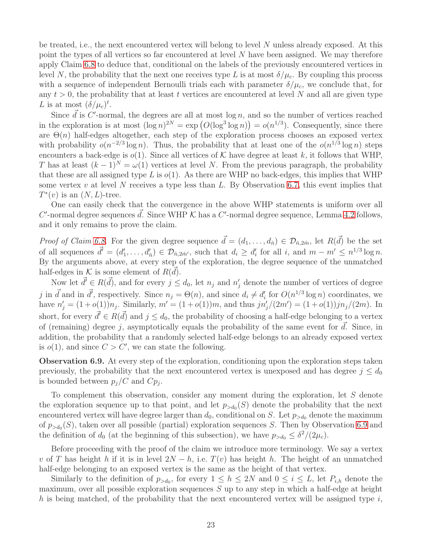be treated, i.e., the next encountered vertex will belong to level  $N$  unless already exposed. At this point the types of all vertices so far encountered at level  $N$  have been assigned. We may therefore apply Claim [6.8](#page-21-0) to deduce that, conditional on the labels of the previously encountered vertices in level N, the probability that the next one receives type L is at most  $\delta/\mu_c$ . By coupling this process with a sequence of independent Bernoulli trials each with parameter  $\delta/\mu_c$ , we conclude that, for any  $t > 0$ , the probability that at least t vertices are encountered at level N and all are given type L is at most  $(\delta/\mu_c)^t$ .

Since  $\vec{d}$  is C'-normal, the degrees are all at most log n, and so the number of vertices reached in the exploration is at most  $(\log n)^{2N} = \exp (O(\log^3 \log n)) = o(n^{1/3})$ . Consequently, since there are  $\Theta(n)$  half-edges altogether, each step of the exploration process chooses an exposed vertex with probability  $o(n^{-2/3}\log n)$ . Thus, the probability that at least one of the  $o(n^{1/3}\log n)$  steps encounters a back-edge is  $o(1)$ . Since all vertices of K have degree at least k, it follows that WHP, T has at least  $(k-1)^N = \omega(1)$  vertices at level N. From the previous paragraph, the probability that these are all assigned type L is  $o(1)$ . As there are WHP no back-edges, this implies that WHP some vertex v at level N receives a type less than L. By Observation [6.7,](#page-21-1) this event implies that  $T^*(v)$  is an  $(N, L)$ -tree.

One can easily check that the convergence in the above WHP statements is uniform over all  $C'$ -normal degree sequences  $\vec{d}$ . Since WHP  $\mathcal K$  has a  $C'$ -normal degree sequence, Lemma [4.2](#page-9-0) follows, and it only remains to prove the claim.

*Proof of Claim [6.8.](#page-21-0)* For the given degree sequence  $\vec{d} = (d_1, \ldots, d_{\hat{n}}) \in \mathcal{D}_{\hat{n}, 2\hat{m}}$ , let  $R(\vec{d})$  be the set of all sequences  $\vec{d}' = (d'_1, \ldots, d'_{\hat{n}}) \in \mathcal{D}_{\hat{n}, 2\hat{m}'},$  such that  $d_i \geq d'_i$  for all i, and  $m - m' \leq n^{1/3} \log n$ . By the arguments above, at every step of the exploration, the degree sequence of the unmatched half-edges in  $\mathcal K$  is some element of  $R(\vec{d})$ .

Now let  $\vec{d}' \in R(\vec{d})$ , and for every  $j \leq d_0$ , let  $n_j$  and  $n'_j$  denote the number of vertices of degree j in  $\vec{d}$  and in  $\vec{d'}$ , respectively. Since  $n_j = \Theta(n)$ , and since  $d_i \neq d'_i$  for  $O(n^{1/3} \log n)$  coordinates, we have  $n'_{j} = (1+o(1))n_{j}$ . Similarly,  $m' = (1+o(1))m$ , and thus  $jn'_{j}/(2m') = (1+o(1))jn_{j}/(2m)$ . In short, for every  $\vec{d}' \in R(\vec{d})$  and  $j \leq d_0$ , the probability of choosing a half-edge belonging to a vertex of (remaining) degree j, asymptotically equals the probability of the same event for  $\vec{d}$ . Since, in addition, the probability that a randomly selected half-edge belongs to an already exposed vertex is  $o(1)$ , and since  $C > C'$ , we can state the following.

<span id="page-22-0"></span>Observation 6.9. At every step of the exploration, conditioning upon the exploration steps taken previously, the probability that the next encountered vertex is unexposed and has degree  $j \leq d_0$ is bounded between  $p_j/C$  and  $Cp_j$ .

To complement this observation, consider any moment during the exploration, let S denote the exploration sequence up to that point, and let  $p_{>d_0}(S)$  denote the probability that the next encountered vertex will have degree larger than  $d_0$ , conditional on S. Let  $p_{>d_0}$  denote the maximum of  $p_{> d_0}(S)$ , taken over all possible (partial) exploration sequences S. Then by Observation [6.9](#page-22-0) and the definition of  $d_0$  (at the beginning of this subsection), we have  $p_{>d_0} \leq \delta^2/(2\mu_c)$ .

Before proceeding with the proof of the claim we introduce more terminology. We say a vertex v of T has height h if it is in level  $2N - h$ , i.e.  $T(v)$  has height h. The height of an unmatched half-edge belonging to an exposed vertex is the same as the height of that vertex.

Similarly to the definition of  $p_{>d_0}$ , for every  $1 \leq h \leq 2N$  and  $0 \leq i \leq L$ , let  $P_{i,h}$  denote the maximum, over all possible exploration sequences  $S$  up to any step in which a half-edge at height h is being matched, of the probability that the next encountered vertex will be assigned type  $i$ ,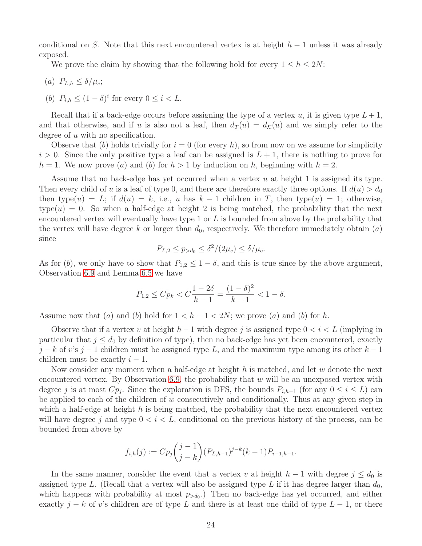conditional on S. Note that this next encountered vertex is at height  $h-1$  unless it was already exposed.

We prove the claim by showing that the following hold for every  $1 \leq h \leq 2N$ :

- (a)  $P_{L,h} \leq \delta/\mu_c$ ;
- (b)  $P_{i,h} \leq (1-\delta)^i$  for every  $0 \leq i < L$ .

Recall that if a back-edge occurs before assigning the type of a vertex u, it is given type  $L+1$ , and that otherwise, and if u is also not a leaf, then  $d_T(u) = d_{\mathcal{K}}(u)$  and we simply refer to the degree of  $u$  with no specification.

Observe that (b) holds trivially for  $i = 0$  (for every h), so from now on we assume for simplicity  $i > 0$ . Since the only positive type a leaf can be assigned is  $L + 1$ , there is nothing to prove for  $h = 1$ . We now prove (a) and (b) for  $h > 1$  by induction on h, beginning with  $h = 2$ .

Assume that no back-edge has yet occurred when a vertex u at height 1 is assigned its type. Then every child of u is a leaf of type 0, and there are therefore exactly three options. If  $d(u) > d_0$ then type(u) = L; if  $d(u) = k$ , i.e., u has  $k - 1$  children in T, then type(u) = 1; otherwise,  $type(u) = 0$ . So when a half-edge at height 2 is being matched, the probability that the next encountered vertex will eventually have type 1 or  $L$  is bounded from above by the probability that the vertex will have degree k or larger than  $d_0$ , respectively. We therefore immediately obtain  $(a)$ since

$$
P_{L,2} \le p_{>d_0} \le \delta^2/(2\mu_c) \le \delta/\mu_c.
$$

As for (b), we only have to show that  $P_{1,2} \leq 1 - \delta$ , and this is true since by the above argument, Observation [6.9](#page-22-0) and Lemma [6.5](#page-17-1) we have

$$
P_{1,2} \leq Cp_k < C\frac{1-2\delta}{k-1} = \frac{(1-\delta)^2}{k-1} < 1-\delta.
$$

Assume now that (a) and (b) hold for  $1 < h - 1 < 2N$ ; we prove (a) and (b) for h.

Observe that if a vertex v at height  $h-1$  with degree j is assigned type  $0 < i < L$  (implying in particular that  $j \leq d_0$  by definition of type), then no back-edge has yet been encountered, exactly  $j - k$  of v's  $j - 1$  children must be assigned type L, and the maximum type among its other  $k - 1$ children must be exactly  $i - 1$ .

Now consider any moment when a half-edge at height  $h$  is matched, and let  $w$  denote the next encountered vertex. By Observation [6.9,](#page-22-0) the probability that  $w$  will be an unexposed vertex with degree j is at most  $Cp_j$ . Since the exploration is DFS, the bounds  $P_{i,h-1}$  (for any  $0 \le i \le L$ ) can be applied to each of the children of  $w$  consecutively and conditionally. Thus at any given step in which a half-edge at height  $h$  is being matched, the probability that the next encountered vertex will have degree j and type  $0 < i < L$ , conditional on the previous history of the process, can be bounded from above by

$$
f_{i,h}(j) := Cp_j\binom{j-1}{j-k}(P_{L,h-1})^{j-k}(k-1)P_{i-1,h-1}.
$$

In the same manner, consider the event that a vertex v at height  $h-1$  with degree  $j \leq d_0$  is assigned type L. (Recall that a vertex will also be assigned type L if it has degree larger than  $d_0$ , which happens with probability at most  $p_{>d_0}$ . Then no back-edge has yet occurred, and either exactly  $j - k$  of v's children are of type L and there is at least one child of type  $L - 1$ , or there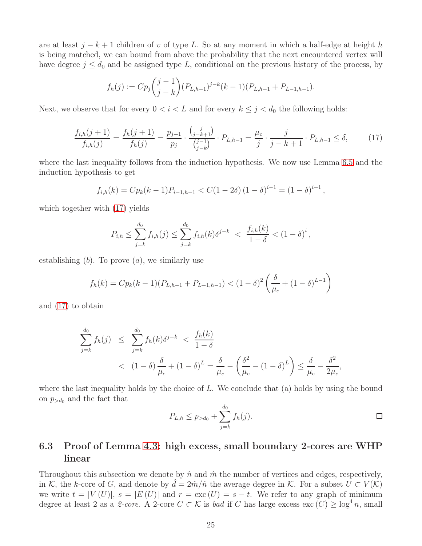are at least  $j - k + 1$  children of v of type L. So at any moment in which a half-edge at height h is being matched, we can bound from above the probability that the next encountered vertex will have degree  $j \leq d_0$  and be assigned type L, conditional on the previous history of the process, by

$$
f_h(j) := Cp_j\binom{j-1}{j-k}(P_{L,h-1})^{j-k}(k-1)(P_{L,h-1}+P_{L-1,h-1}).
$$

Next, we observe that for every  $0 < i < L$  and for every  $k \leq j < d_0$  the following holds:

<span id="page-24-1"></span>
$$
\frac{f_{i,h}(j+1)}{f_{i,h}(j)} = \frac{f_h(j+1)}{f_h(j)} = \frac{p_{j+1}}{p_j} \cdot \frac{\binom{j}{j-k+1}}{\binom{j-1}{j-k}} \cdot P_{L,h-1} = \frac{\mu_c}{j} \cdot \frac{j}{j-k+1} \cdot P_{L,h-1} \le \delta,
$$
\n(17)

where the last inequality follows from the induction hypothesis. We now use Lemma [6.5](#page-17-1) and the induction hypothesis to get

$$
f_{i,h}(k) = Cp_k(k-1)P_{i-1,h-1} < C(1-2\delta) \left(1-\delta\right)^{i-1} = \left(1-\delta\right)^{i+1},
$$

which together with [\(17\)](#page-24-1) yields

$$
P_{i,h} \leq \sum_{j=k}^{d_0} f_{i,h}(j) \leq \sum_{j=k}^{d_0} f_{i,h}(k) \delta^{j-k} < \frac{f_{i,h}(k)}{1-\delta} < (1-\delta)^i \,,
$$

establishing  $(b)$ . To prove  $(a)$ , we similarly use

$$
f_h(k) = Cp_k(k-1)(P_{L,h-1} + P_{L-1,h-1}) < (1-\delta)^2 \left(\frac{\delta}{\mu_c} + (1-\delta)^{L-1}\right)
$$

and [\(17\)](#page-24-1) to obtain

$$
\sum_{j=k}^{d_0} f_h(j) \leq \sum_{j=k}^{d_0} f_h(k) \delta^{j-k} < \frac{f_h(k)}{1-\delta} \\
&< (1-\delta) \frac{\delta}{\mu_c} + (1-\delta)^L = \frac{\delta}{\mu_c} - \left(\frac{\delta^2}{\mu_c} - (1-\delta)^L\right) \leq \frac{\delta}{\mu_c} - \frac{\delta^2}{2\mu_c},
$$

where the last inequality holds by the choice of  $L$ . We conclude that (a) holds by using the bound on  $p_{>d_0}$  and the fact that

$$
P_{L,h} \le p_{>d_0} + \sum_{j=k}^{d_0} f_h(j).
$$

## <span id="page-24-0"></span>6.3 Proof of Lemma [4.3:](#page-9-1) high excess, small boundary 2-cores are WHP linear

Throughout this subsection we denote by  $\hat{n}$  and  $\hat{m}$  the number of vertices and edges, respectively, in K, the k-core of G, and denote by  $d = 2\hat{m}/\hat{n}$  the average degree in K. For a subset  $U \subset V(K)$ we write  $t = |V(U)|$ ,  $s = |E(U)|$  and  $r = \text{exc}(U) = s - t$ . We refer to any graph of minimum degree at least 2 as a 2-core. A 2-core  $C \subset \mathcal{K}$  is *bad* if C has large excess  $\text{exc}(C) \geq \log^4 n$ , small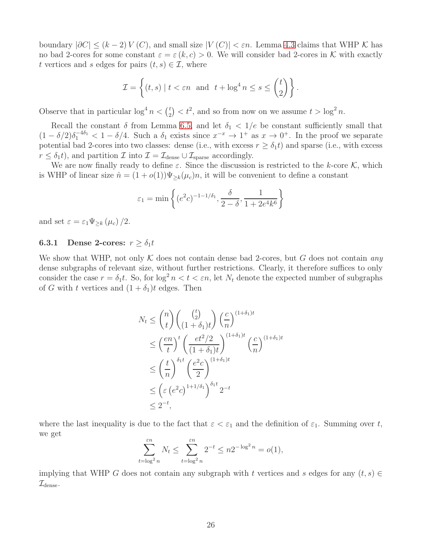boundary  $|\partial C| \leq (k-2) V(C)$ , and small size  $|V(C)| < \varepsilon n$ . Lemma [4.3](#page-9-1) claims that WHP K has no bad 2-cores for some constant  $\varepsilon = \varepsilon (k, c) > 0$ . We will consider bad 2-cores in K with exactly t vertices and s edges for pairs  $(t, s) \in \mathcal{I}$ , where

$$
\mathcal{I} = \left\{ (t,s) \mid t < \varepsilon n \text{ and } t + \log^4 n \le s \le \binom{t}{2} \right\}.
$$

Observe that in particular  $\log^4 n < \binom{t}{2}$  $\binom{t}{2} < t^2$ , and so from now on we assume  $t > \log^2 n$ .

Recall the constant  $\delta$  from Lemma [6.5,](#page-17-1) and let  $\delta_1 < 1/e$  be constant sufficiently small that  $(1 - \delta/2)\delta_1^{-4\delta_1} < 1 - \delta/4$ . Such a  $\delta_1$  exists since  $x^{-x} \to 1^+$  as  $x \to 0^+$ . In the proof we separate potential bad 2-cores into two classes: dense (i.e., with excess  $r \geq \delta_1 t$ ) and sparse (i.e., with excess  $r \leq \delta_1 t$ , and partition  $\mathcal{I}$  into  $\mathcal{I} = \mathcal{I}_{\text{dense}} \cup \mathcal{I}_{\text{sparse}}$  accordingly.

We are now finally ready to define  $\varepsilon$ . Since the discussion is restricted to the k-core K, which is WHP of linear size  $\hat{n} = (1 + o(1))\Psi_{\geq k}(\mu_c)n$ , it will be convenient to define a constant

$$
\varepsilon_1 = \min \left\{ (e^2 c)^{-1-1/\delta_1}, \frac{\delta}{2-\delta}, \frac{1}{1+2e^4 k^6} \right\}
$$

and set  $\varepsilon = \varepsilon_1 \Psi_{\geq k} (\mu_c) / 2$ .

#### **6.3.1** Dense 2-cores:  $r \geq \delta_1 t$

We show that WHP, not only K does not contain dense bad 2-cores, but G does not contain *any* dense subgraphs of relevant size, without further restrictions. Clearly, it therefore suffices to only consider the case  $r = \delta_1 t$ . So, for  $\log^2 n < t < \varepsilon n$ , let  $N_t$  denote the expected number of subgraphs of G with t vertices and  $(1 + \delta_1)t$  edges. Then

$$
N_t \leq {n \choose t} {t \choose 1 + \delta_1} {c \choose 1} {1 + \delta_1} t
$$
  
\n
$$
\leq \left(\frac{en}{t}\right)^t \left(\frac{et^2/2}{(1 + \delta_1)t}\right)^{(1 + \delta_1)t} {c \choose n}^{(1 + \delta_1)t}
$$
  
\n
$$
\leq \left(\frac{t}{n}\right)^{\delta_1 t} \left(\frac{e^2c}{2}\right)^{(1 + \delta_1)t}
$$
  
\n
$$
\leq \left(\varepsilon \left(e^2c\right)^{1 + 1/\delta_1}\right)^{\delta_1 t} 2^{-t}
$$
  
\n
$$
\leq 2^{-t},
$$

where the last inequality is due to the fact that  $\varepsilon < \varepsilon_1$  and the definition of  $\varepsilon_1$ . Summing over t, we get

$$
\sum_{t=\log^2 n}^{\varepsilon n} N_t \le \sum_{t=\log^2 n}^{\varepsilon n} 2^{-t} \le n2^{-\log^2 n} = o(1),
$$

implying that WHP G does not contain any subgraph with t vertices and s edges for any  $(t, s) \in$  $\mathcal{I}_{\text{dense}}$ .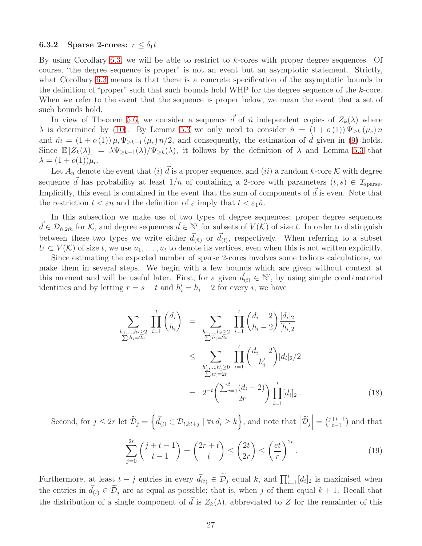#### **6.3.2** Sparse 2-cores:  $r \leq \delta_1 t$

By using Corollary [6.3,](#page-16-3) we will be able to restrict to  $k$ -cores with proper degree sequences. Of course, "the degree sequence is proper" is not an event but an asymptotic statement. Strictly, what Corollary [6.3](#page-16-3) means is that there is a concrete specification of the asymptotic bounds in the definition of "proper" such that such bounds hold WHP for the degree sequence of the k-core. When we refer to the event that the sequence is proper below, we mean the event that a set of such bounds hold.

In view of Theorem [5.6,](#page-15-1) we consider a sequence  $\vec{d}$  of  $\hat{n}$  independent copies of  $Z_k(\lambda)$  where  $\lambda$  is determined by [\(10\)](#page-15-2). By Lemma [5.3](#page-14-4) we only need to consider  $\hat{n} = (1 + o(1)) \Psi_{\geq k}(\mu_c) n$ and  $\hat{m} = (1 + o(1)) \mu_c \Psi_{\geq k-1}(\mu_c) n/2$ , and consequently, the estimation of  $\hat{d}$  given in [\(9\)](#page-14-6) holds. Since  $\mathbb{E}[Z_k(\lambda)] = \lambda \Psi_{\geq k-1}(\lambda) / \Psi_{\geq k}(\lambda)$ , it follows by the definition of  $\lambda$  and Lemma [5.3](#page-14-4) that  $\lambda = (1 + o(1))\mu_c.$ 

Let  $A_n$  denote the event that (i)  $\vec{d}$  is a proper sequence, and (ii) a random k-core K with degree sequence  $\vec{d}$  has probability at least  $1/n$  of containing a 2-core with parameters  $(t, s) \in \mathcal{I}_{\text{sparse}}$ . Implicitly, this event is contained in the event that the sum of components of  $\vec{d}$  is even. Note that the restriction  $t < \varepsilon n$  and the definition of  $\varepsilon$  imply that  $t < \varepsilon_1 \hat{n}$ .

In this subsection we make use of two types of degree sequences; proper degree sequences  $\vec{d} \in \mathcal{D}_{\hat{n},2\hat{m}}$  for  $\mathcal{K}$ , and degree sequences  $\vec{d} \in \mathbb{N}^t$  for subsets of  $V(\mathcal{K})$  of size t. In order to distinguish between these two types we write either  $\vec{d}_{(\hat{n})}$  or  $\vec{d}_{(t)}$ , respectively. When referring to a subset  $U \subset V(K)$  of size t, we use  $u_1, \ldots, u_t$  to denote its vertices, even when this is not written explicitly.

Since estimating the expected number of sparse 2-cores involves some tedious calculations, we make them in several steps. We begin with a few bounds which are given without context at this moment and will be useful later. First, for a given  $\vec{d}_{(t)} \in \mathbb{N}^t$ , by using simple combinatorial identities and by letting  $r = s - t$  and  $h'_i = h_i - 2$  for every i, we have

<span id="page-26-1"></span>
$$
\sum_{h_1,\dots,h_t\geq 2} \prod_{i=1}^t {d_i \choose h_i} = \sum_{\substack{h_1,\dots,h_t\geq 2 \\ \sum h_i=2s}} \prod_{i=1}^t {d_i-2 \choose h_i-2} \frac{[d_i]_2}{[h_i]_2}
$$
\n
$$
\leq \sum_{\substack{h'_1,\dots,h'_t\geq 0 \\ \sum h'_i=2r}} \prod_{i=1}^t {d_i-2 \choose h'_i} [d_i]_2/2
$$
\n
$$
= 2^{-t} \left( \sum_{i=1}^t (d_i-2) \right) \prod_{i=1}^t [d_i]_2 .
$$
\n(18)

Second, for  $j \leq 2r$  let  $\widetilde{\mathcal{D}}_j = \left\{ \vec{d}_{(t)} \in \mathcal{D}_{t,kt+j} \mid \forall i \, d_i \geq k \right\}$ , and note that  $\left| \widetilde{\mathcal{D}}_j \right|$  $\Big| = {{j+t-1}\choose{t-1}}$  $_{t-1}^{+t-1}$ ) and that

<span id="page-26-0"></span>
$$
\sum_{j=0}^{2r} \binom{j+t-1}{t-1} = \binom{2r+t}{t} \le \binom{2t}{2r} \le \left(\frac{et}{r}\right)^{2r}.
$$
\n(19)

Furthermore, at least  $t - j$  entries in every  $\vec{d}_{(t)} \in \tilde{\mathcal{D}}_j$  equal k, and  $\prod_{i=1}^t [d_i]_2$  is maximised when the entries in  $\vec{d}_{(t)} \in \tilde{\mathcal{D}}_j$  are as equal as possible; that is, when j of them equal  $k + 1$ . Recall that the distribution of a single component of  $\vec{d}$  is  $Z_k(\lambda)$ , abbreviated to Z for the remainder of this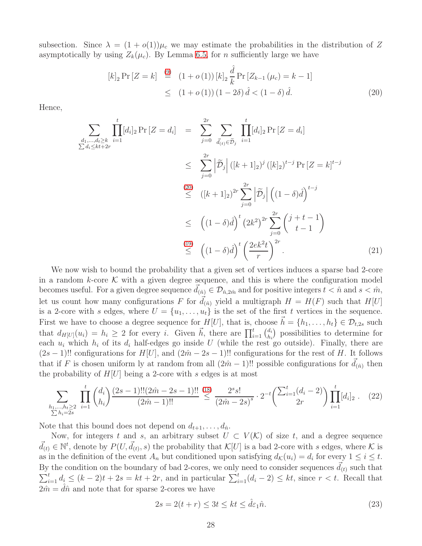subsection. Since  $\lambda = (1 + o(1))\mu_c$  we may estimate the probabilities in the distribution of Z asymptotically by using  $Z_k(\mu_c)$ . By Lemma [6.5,](#page-17-1) for *n* sufficiently large we have

<span id="page-27-0"></span>
$$
[k]_2 \Pr[Z = k] \stackrel{(9)}{=} (1 + o(1)) [k]_2 \frac{\hat{d}}{k} \Pr[Z_{k-1}(\mu_c) = k - 1]
$$
  
 
$$
\leq (1 + o(1)) (1 - 2\delta) \hat{d} < (1 - \delta) \hat{d}.
$$
 (20)

Hence,

<span id="page-27-3"></span>
$$
\sum_{\substack{d_1,\dots,d_t\geq k \\ \sum d_i\leq kt+2r}} \prod_{i=1}^t [d_i]_2 \Pr[Z = d_i] = \sum_{j=0}^{2r} \sum_{\substack{d_i \in \tilde{D}_j \\ \sum d_i\leq kt+2r}} \prod_{i=1}^t [d_i]_2 \Pr[Z = d_i]
$$
\n
$$
\leq \sum_{j=0}^{2r} |\tilde{D}_j| \left( [k+1]_2 \right)^j \left( [k]_2 \right)^{t-j} \Pr[Z = k]^{t-j}
$$
\n
$$
\leq \left( [k+1]_2 \right)^{2r} \sum_{j=0}^{2r} |\tilde{D}_j| \left( (1-\delta)\hat{d} \right)^{t-j}
$$
\n
$$
\leq \left( (1-\delta)\hat{d} \right)^t \left( 2k^2 \right)^{2r} \sum_{j=0}^{2r} \binom{j+t-1}{t-1}
$$
\n
$$
\stackrel{(19)}{\leq} \left( (1-\delta)\hat{d} \right)^t \left( \frac{2ek^2t}{r} \right)^{2r} .
$$
\n(21)

We now wish to bound the probability that a given set of vertices induces a sparse bad 2-core in a random k-core  $K$  with a given degree sequence, and this is where the configuration model becomes useful. For a given degree sequence  $d_{(\hat{n})} \in \mathcal{D}_{\hat{n}, 2\hat{m}}$  and for positive integers  $t < \hat{n}$  and  $s < \hat{m}$ , let us count how many configurations F for  $\vec{d}_{(\hat{n})}$  yield a multigraph  $H = H(F)$  such that  $H[U]$ is a 2-core with s edges, where  $U = \{u_1, \ldots, u_t\}$  is the set of the first t vertices in the sequence. First we have to choose a degree sequence for  $H[U]$ , that is, choose  $h = \{h_1, \ldots, h_t\} \in \mathcal{D}_{t,2s}$  such that  $d_{H[U]}(u_i) = h_i \geq 2$  for every i. Given  $\vec{h}$ , there are  $\prod_{i=1}^t {d_i \choose h_i}$  $\begin{pmatrix} d_i \\ h_i \end{pmatrix}$  possibilities to determine for each  $u_i$  which  $h_i$  of its  $d_i$  half-edges go inside U (while the rest go outside). Finally, there are  $(2s-1)!!$  configurations for  $H[U]$ , and  $(2\hat{m}-2s-1)!!$  configurations for the rest of H. It follows that if F is chosen uniform ly at random from all  $(2\hat{m} - 1)$ !! possible configurations for  $d_{(\hat{n})}$  then the probability of  $H[U]$  being a 2-core with s edges is at most

<span id="page-27-1"></span>
$$
\sum_{\substack{h_1,\ldots,h_t\ge 2\\ \sum h_i=2s}} \prod_{i=1}^t {d_i \choose h_i} \frac{(2s-1)!!(2\hat{m}-2s-1)!!}{(2\hat{m}-1)!!} \stackrel{(18)}{\le} \frac{2^s s!}{(2\hat{m}-2s)^s} \cdot 2^{-t} \binom{\sum_{i=1}^t (d_i-2)}{2r} \prod_{i=1}^t [d_i]_2 . \tag{22}
$$

Note that this bound does not depend on  $d_{t+1}, \ldots, d_{\hat{n}}$ .

Now, for integers t and s, an arbitrary subset  $U \subset V(\mathcal{K})$  of size t, and a degree sequence  $\vec{d}_{(t)} \in \mathbb{N}^t$ , denote by  $P(U, \vec{d}_{(t)}, s)$  the probability that  $\mathcal{K}[U]$  is a bad 2-core with s edges, where  $\mathcal K$  is as in the definition of the event  $A_n$  but conditioned upon satisfying  $d_{\mathcal{K}}(u_i) = d_i$  for every  $1 \leq i \leq t$ . By the condition on the boundary of bad 2-cores, we only need to consider sequences  $\vec{d}_{(t)}$  such that  $\sum_{i=1}^t d_i \leq (k-2)t + 2s = kt + 2r$ , and in particular  $\sum_{i=1}^t (d_i - 2) \leq kt$ , since  $r < t$ . Recall that  $2\hat{m} = d\hat{n}$  and note that for sparse 2-cores we have

<span id="page-27-2"></span>
$$
2s = 2(t+r) \le 3t \le kt \le \hat{d}\varepsilon_1 \hat{n}.\tag{23}
$$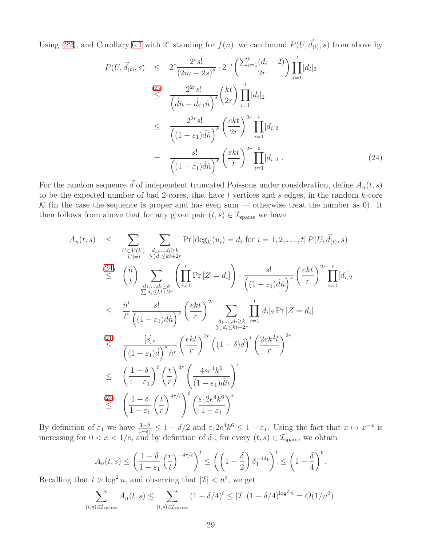Using [\(22\)](#page-27-1), and Corollary [6.1](#page-16-4) with 2<sup>r</sup> standing for  $f(n)$ , we can bound  $P(U, \vec{d}_{(t)}, s)$  from above by

<span id="page-28-0"></span>
$$
P(U, \vec{d}_{(t)}, s) \leq 2^r \frac{2^s s!}{(2\hat{m} - 2s)^s} \cdot 2^{-t} \left(\frac{\sum_{i=1}^t (d_i - 2)}{2r}\right) \prod_{i=1}^t [d_i]_2
$$
\n
$$
\leq \frac{2^{2r} s!}{\left(\hat{d}\hat{n} - \hat{d}\varepsilon_1 \hat{n}\right)^s} \binom{kt}{2r} \prod_{i=1}^t [d_i]_2
$$
\n
$$
\leq \frac{2^{2r} s!}{\left((1 - \varepsilon_1)\hat{d}\hat{n}\right)^s} \left(\frac{ekt}{2r}\right)^{2r} \prod_{i=1}^t [d_i]_2
$$
\n
$$
= \frac{s!}{\left((1 - \varepsilon_1)\hat{d}\hat{n}\right)^s} \left(\frac{ekt}{r}\right)^{2r} \prod_{i=1}^t [d_i]_2 .
$$
\n(24)

For the random sequence  $\vec{d}$  of independent truncated Poissons under consideration, define  $A_n(t, s)$ to be the expected number of bad 2-cores, that have  $t$  vertices and  $s$  edges, in the random  $k$ -core K (in the case the sequence is proper and has even sum — otherwise treat the number as 0). It then follows from above that for any given pair  $(t, s) \in \mathcal{I}_{\text{sparse}}$  we have

$$
A_n(t,s) \leq \sum_{\substack{U \subset V(\mathcal{K}) \\ |U|=t}} \sum_{\substack{d_1,\ldots,d_t \geq k \\ \sum d_i \leq k t + 2r}} \Pr\left[\deg_{\mathcal{K}}(u_i) = d_i \text{ for } i = 1,2,\ldots,t\right] P(U, \vec{d}_{(t)}, s)
$$
\n
$$
\leq \binom{\hat{n}}{t} \sum_{\substack{d_1,\ldots,d_t \geq k \\ \sum d_i \leq k t + 2r}} \left(\prod_{i=1}^t \Pr\left[Z = d_i\right]\right) \cdot \frac{s!}{\left((1-\varepsilon_1)\hat{d}\hat{n}\right)^s} \left(\frac{ekt}{r}\right)^{2r} \prod_{i=1}^t [d_i]_2
$$
\n
$$
\leq \frac{\hat{n}^t}{t!} \frac{s!}{\left((1-\varepsilon_1)\hat{d}\hat{n}\right)^s} \left(\frac{ekt}{r}\right)^{2r} \sum_{\substack{d_1,\ldots,d_t \geq k \\ \sum d_i \leq k t + 2r}} \prod_{i=1}^t [d_i]_2 \Pr\left[Z = d_i\right]
$$
\n
$$
\leq \frac{21}{\left((1-\varepsilon_1)\hat{d}\right)^s \hat{n}^r} \left(\frac{ekt}{r}\right)^{2r} \left((1-\delta)\hat{d}\right)^t \left(\frac{2ek^2t}{r}\right)^{2r}
$$
\n
$$
\leq \left(\frac{1-\delta}{1-\varepsilon_1}\right)^t \left(\frac{t}{r}\right)^{4r} \left(\frac{4se^4k^6}{1-\varepsilon_1\hat{d}\hat{n}}\right)^r
$$
\n
$$
\leq \left(\frac{1-\delta}{1-\varepsilon_1}\left(\frac{t}{r}\right)^{4r/t}\right)^t \left(\frac{\varepsilon_1 2e^4k^6}{1-\varepsilon_1}\right)^r.
$$

By definition of  $\varepsilon_1$  we have  $\frac{1-\delta}{1-\varepsilon_1} \leq 1-\delta/2$  and  $\varepsilon_1 2e^4 k^6 \leq 1-\varepsilon_1$ . Using the fact that  $x \mapsto x^{-x}$  is increasing for  $0 < x < 1/e$ , and by definition of  $\delta_1$ , for every  $(t, s) \in \mathcal{I}_{\text{sparse}}$  we obtain

$$
A_n(t,s) \le \left(\frac{1-\delta}{1-\varepsilon_1} \left(\frac{r}{t}\right)^{-4r/t}\right)^t \le \left(\left(1-\frac{\delta}{2}\right)\delta_1^{-4\delta_1}\right)^t \le \left(1-\frac{\delta}{4}\right)^t.
$$
  
>  $\log^2 n$  and observing that  $|T| < n^3$  we get

Recalling that  $t > \log^2 n$ , and observing that  $|\mathcal{I}| < n^3$ , we get

$$
\sum_{(t,s)\in\mathcal{I}_{\text{sparse}}} A_n(t,s) \leq \sum_{(t,s)\in\mathcal{I}_{\text{sparse}}} (1-\delta/4)^t \leq |\mathcal{I}| (1-\delta/4)^{\log^2 n} = O(1/n^2).
$$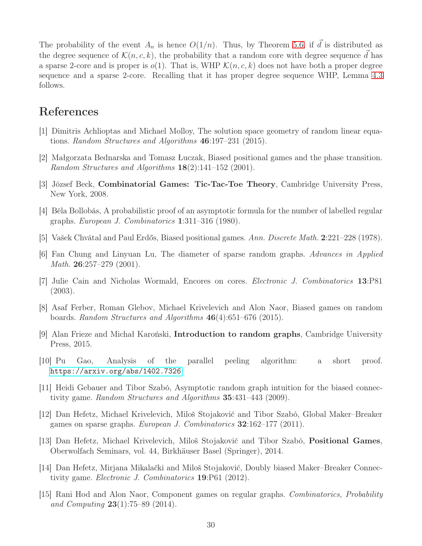The probability of the event  $A_n$  is hence  $O(1/n)$ . Thus, by Theorem [5.6,](#page-15-1) if d is distributed as the degree sequence of  $\mathcal{K}(n, c, k)$ , the probability that a random core with degree sequence d has a sparse 2-core and is proper is  $o(1)$ . That is, WHP  $\mathcal{K}(n, c, k)$  does not have both a proper degree sequence and a sparse 2-core. Recalling that it has proper degree sequence WHP, Lemma [4.3](#page-9-1) follows.

## <span id="page-29-10"></span>References

- <span id="page-29-6"></span>[1] Dimitris Achlioptas and Michael Molloy, The solution space geometry of random linear equations. *Random Structures and Algorithms* 46:197–231 (2015).
- <span id="page-29-0"></span>[2] Małgorzata Bednarska and Tomasz Łuczak, Biased positional games and the phase transition. *Random Structures and Algorithms* 18(2):141–152 (2001).
- <span id="page-29-12"></span>[3] József Beck, Combinatorial Games: Tic-Tac-Toe Theory, Cambridge University Press, New York, 2008.
- <span id="page-29-2"></span>[4] Béla Bollobás, A probabilistic proof of an asymptotic formula for the number of labelled regular graphs. *European J. Combinatorics* 1:311–316 (1980).
- <span id="page-29-11"></span>[5] Vašek Chvátal and Paul Erdős, Biased positional games. *Ann. Discrete Math.* 2:221–228 (1978).
- [6] Fan Chung and Linyuan Lu, The diameter of sparse random graphs. *Advances in Applied Math*. 26:257–279 (2001).
- <span id="page-29-8"></span>[7] Julie Cain and Nicholas Wormald, Encores on cores. *Electronic J. Combinatorics* 13:P81 (2003).
- <span id="page-29-13"></span><span id="page-29-4"></span>[8] Asaf Ferber, Roman Glebov, Michael Krivelevich and Alon Naor, Biased games on random boards. *Random Structures and Algorithms* 46(4):651–676 (2015).
- <span id="page-29-9"></span>[9] Alan Frieze and Michał Karoński, Introduction to random graphs, Cambridge University Press, 2015.
- [10] Pu Gao, Analysis of the parallel peeling algorithm: a short proof. <https://arxiv.org/abs/1402.7326>
- <span id="page-29-3"></span>[11] Heidi Gebauer and Tibor Szabó, Asymptotic random graph intuition for the biased connectivity game. *Random Structures and Algorithms* 35:431–443 (2009).
- <span id="page-29-5"></span>[12] Dan Hefetz, Michael Krivelevich, Miloš Stojaković and Tibor Szabó, Global Maker–Breaker games on sparse graphs. *European J. Combinatorics* 32:162–177 (2011).
- <span id="page-29-1"></span>[13] Dan Hefetz, Michael Krivelevich, Miloš Stojaković and Tibor Szabó, Positional Games, Oberwolfach Seminars, vol. 44, Birkhäuser Basel (Springer), 2014.
- [14] Dan Hefetz, Mirjana Mikalački and Miloš Stojaković, Doubly biased Maker–Breaker Connectivity game. *Electronic J. Combinatorics* 19:P61 (2012).
- <span id="page-29-7"></span>[15] Rani Hod and Alon Naor, Component games on regular graphs. *Combinatorics, Probability and Computing* 23(1):75–89 (2014).